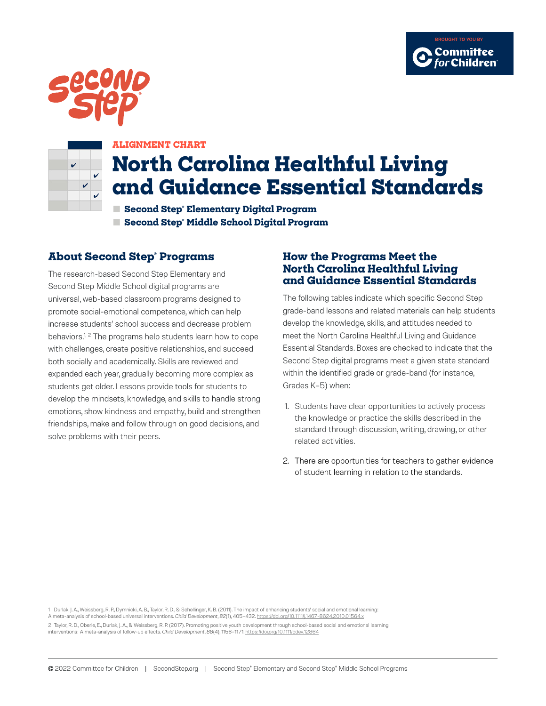





#### **ALIGNMENT CHART**

# **North Carolina Healthful Living and Guidance Essential Standards**

**■ Second Step® Elementary Digital Program ■ Second Step® Middle School Digital Program**

#### **About Second Step® Programs**

The research-based Second Step Elementary and Second Step Middle School digital programs are universal, web-based classroom programs designed to promote social-emotional competence, which can help increase students' school success and decrease problem behaviors.<sup>1, 2</sup> The programs help students learn how to cope with challenges, create positive relationships, and succeed both socially and academically. Skills are reviewed and expanded each year, gradually becoming more complex as students get older. Lessons provide tools for students to develop the mindsets, knowledge, and skills to handle strong emotions, show kindness and empathy, build and strengthen friendships, make and follow through on good decisions, and solve problems with their peers.

#### **How the Programs Meet the North Carolina Healthful Living and Guidance Essential Standards**

The following tables indicate which specific Second Step grade-band lessons and related materials can help students develop the knowledge, skills, and attitudes needed to meet the North Carolina Healthful Living and Guidance Essential Standards. Boxes are checked to indicate that the Second Step digital programs meet a given state standard within the identified grade or grade-band (for instance, Grades K–5) when:

- 1. Students have clear opportunities to actively process the knowledge or practice the skills described in the standard through discussion, writing, drawing, or other related activities.
- 2. There are opportunities for teachers to gather evidence of student learning in relation to the standards.

1 Durlak, J. A., Weissberg, R. P., Dymnicki, A. B., Taylor, R. D., & Schellinger, K. B. (2011). The impact of enhancing students' social and emotional learning:

A meta-analysis of school-based universal interventions. *Child Development*, *82*(1), 405–432.<https://doi.org/10.1111/j.1467-8624.2010.01564.x>

2 Taylor, R. D., Oberle, E., Durlak, J. A., & Weissberg, R. P. (2017). Promoting positive youth development through school-based social and emotional learning interventions: A meta-analysis of follow-up effects. *Child Development*, *88*(4), 1156–1171.<https://doi.org/10.1111/cdev.12864>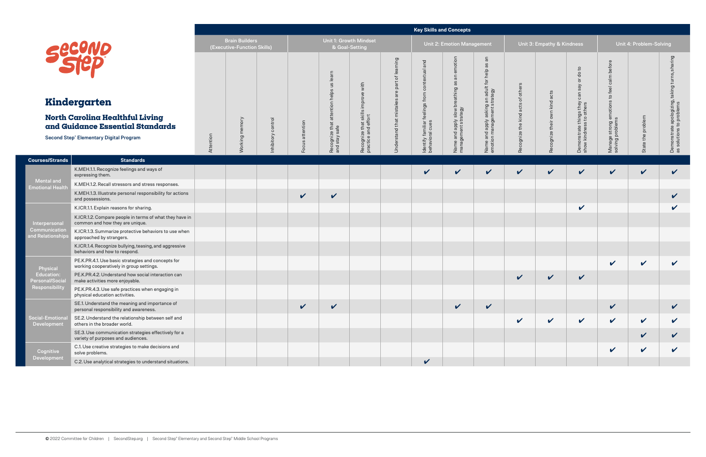|                                              |                                                                                                                       |           |                                                      |                       |                                  |                                                |                                              |                                   | <b>Key Skills and Concepts</b>                       |                                                     |                                                               |                                   |                             |                                                                            |                                           |                            |                                                         |
|----------------------------------------------|-----------------------------------------------------------------------------------------------------------------------|-----------|------------------------------------------------------|-----------------------|----------------------------------|------------------------------------------------|----------------------------------------------|-----------------------------------|------------------------------------------------------|-----------------------------------------------------|---------------------------------------------------------------|-----------------------------------|-----------------------------|----------------------------------------------------------------------------|-------------------------------------------|----------------------------|---------------------------------------------------------|
|                                              | Second                                                                                                                |           | <b>Brain Builders</b><br>(Executive-Function Skills) |                       |                                  | & Goal-Setting                                 | Unit 1: Growth Mindset                       |                                   |                                                      | <b>Unit 2: Emotion Management</b>                   |                                                               |                                   | Unit 3: Empathy & Kindness  |                                                                            |                                           | Unit 4: Problem-Solving    |                                                         |
|                                              |                                                                                                                       |           |                                                      |                       |                                  | learn<br>$\frac{3}{2}$<br>helps                | with                                         | rning<br>lea<br>៉ៃ<br>part<br>are | and<br>$\overline{g}$<br>8                           | emotion<br>$\overline{a}$<br>æ                      | $\overline{a}$<br>8g<br>help<br>for                           |                                   | acts                        | $\mathtt{c}$<br>$\rm ^o$<br>$\overline{5}$<br>Say<br>$\subset$<br>$\sigma$ | calm before<br>feel                       |                            | ing<br>듦<br>taking                                      |
|                                              | Kindergarten                                                                                                          |           |                                                      |                       |                                  |                                                | improve                                      |                                   | from                                                 | breathing                                           |                                                               |                                   |                             | $\circ$                                                                    | $\mathsf{c}_1$<br>ဖ                       |                            |                                                         |
|                                              | North Carolina Healthful Living<br>and Guidance Essential Standards<br><b>Second Step® Elementary Digital Program</b> | Attention | mory<br>Working                                      | control<br>Inhibitory | attention<br>${\bf o}$<br>5<br>운 | attention<br>Recognize that a<br>and stay safe | Recognize that skills<br>practice and effort | Understand that mistakes          | feelings f<br>Identify familiar f<br>behavioral cues | Name and apply slow <b>t</b><br>management strategy | Name and apply asking an adult<br>emotion management strategy | Recognize the kind acts of others | own kind<br>Recognize their | Demonstrate things they<br>show kindness to others                         | Manage strong emotion<br>solving problems | State the problem          | monstrate apologizing,<br>solutions to problems<br>De a |
| <b>Courses/Strands</b>                       | <b>Standards</b>                                                                                                      |           |                                                      |                       |                                  |                                                |                                              |                                   |                                                      |                                                     |                                                               |                                   |                             |                                                                            |                                           |                            |                                                         |
|                                              | K.MEH.1.1. Recognize feelings and ways of<br>expressing them.                                                         |           |                                                      |                       |                                  |                                                |                                              |                                   | V                                                    | $\checkmark$                                        | $\checkmark$                                                  | $\checkmark$                      | V                           | $\checkmark$                                                               | $\checkmark$                              | $\checkmark$               | $\checkmark$                                            |
| <b>Mental and</b><br><b>Emotional Health</b> | K.MEH.1.2. Recall stressors and stress responses.                                                                     |           |                                                      |                       |                                  |                                                |                                              |                                   |                                                      |                                                     |                                                               |                                   |                             |                                                                            |                                           |                            |                                                         |
|                                              | K.MEH.1.3. Illustrate personal responsibility for actions<br>and possessions.                                         |           |                                                      |                       | $\checkmark$                     | $\checkmark$                                   |                                              |                                   |                                                      |                                                     |                                                               |                                   |                             |                                                                            |                                           |                            | V                                                       |
|                                              | K.ICR.1.1. Explain reasons for sharing.                                                                               |           |                                                      |                       |                                  |                                                |                                              |                                   |                                                      |                                                     |                                                               |                                   |                             | $\checkmark$                                                               |                                           |                            | V                                                       |
| Interpersonal                                | K.ICR.1.2. Compare people in terms of what they have in<br>common and how they are unique.                            |           |                                                      |                       |                                  |                                                |                                              |                                   |                                                      |                                                     |                                                               |                                   |                             |                                                                            |                                           |                            |                                                         |
| Communication<br>and Relationships           | K.ICR.1.3. Summarize protective behaviors to use when<br>approached by strangers.                                     |           |                                                      |                       |                                  |                                                |                                              |                                   |                                                      |                                                     |                                                               |                                   |                             |                                                                            |                                           |                            |                                                         |
|                                              | K.ICR.1.4. Recognize bullying, teasing, and aggressive<br>behaviors and how to respond.                               |           |                                                      |                       |                                  |                                                |                                              |                                   |                                                      |                                                     |                                                               |                                   |                             |                                                                            |                                           |                            |                                                         |
| Physical                                     | PE.K.PR.4.1. Use basic strategies and concepts for<br>working cooperatively in group settings.                        |           |                                                      |                       |                                  |                                                |                                              |                                   |                                                      |                                                     |                                                               |                                   |                             |                                                                            | $\checkmark$                              | $\checkmark$               | $\checkmark$                                            |
| Education:<br><b>Personal/Soci</b>           | PE.K.PR.4.2. Understand how social interaction can<br>make activities more enjoyable.                                 |           |                                                      |                       |                                  |                                                |                                              |                                   |                                                      |                                                     |                                                               | V                                 | V                           | $\checkmark$                                                               |                                           |                            |                                                         |
| Responsibility                               | PE.K.PR.4.3. Use safe practices when engaging in<br>physical education activities.                                    |           |                                                      |                       |                                  |                                                |                                              |                                   |                                                      |                                                     |                                                               |                                   |                             |                                                                            |                                           |                            |                                                         |
|                                              | SE.1. Understand the meaning and importance of<br>personal responsibility and awareness.                              |           |                                                      |                       | $\sqrt{2}$                       | $\checkmark$                                   |                                              |                                   |                                                      | $\checkmark$                                        | $\checkmark$                                                  |                                   |                             |                                                                            | $\checkmark$                              |                            | $\checkmark$                                            |
| Social-Emotiona<br>Development               | SE.2. Understand the relationship between self and<br>others in the broader world.                                    |           |                                                      |                       |                                  |                                                |                                              |                                   |                                                      |                                                     |                                                               | $\checkmark$                      | V                           | $\mathbf v$                                                                | $\checkmark$                              | $\boldsymbol{\mathcal{U}}$ | V                                                       |
|                                              | SE.3. Use communication strategies effectively for a<br>variety of purposes and audiences.                            |           |                                                      |                       |                                  |                                                |                                              |                                   |                                                      |                                                     |                                                               |                                   |                             |                                                                            |                                           | $\checkmark$               | V                                                       |
| Cognitive<br>Development                     | C.1. Use creative strategies to make decisions and<br>solve problems.                                                 |           |                                                      |                       |                                  |                                                |                                              |                                   |                                                      |                                                     |                                                               |                                   |                             |                                                                            | $\checkmark$                              | $\checkmark$               | V                                                       |
|                                              | C.2. Use analytical strategies to understand situations.                                                              |           |                                                      |                       |                                  |                                                |                                              |                                   | $\checkmark$                                         |                                                     |                                                               |                                   |                             |                                                                            |                                           |                            |                                                         |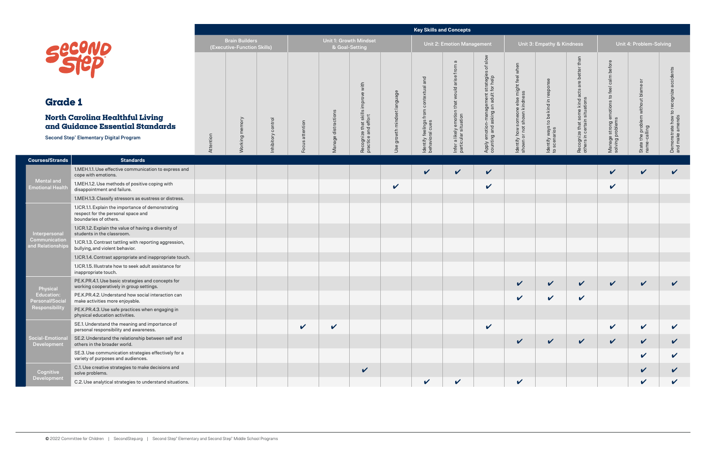|                                       |                                                                                                                                        |           |                                                      |                       |                                  |                        |                                                              |                                | <b>Key Skills and Concepts</b>                                 |                                                                                           |                                                                                           |                                                                                      |                                                                              |                                                                                                   |                                                                      |                                                                                      |                                                           |
|---------------------------------------|----------------------------------------------------------------------------------------------------------------------------------------|-----------|------------------------------------------------------|-----------------------|----------------------------------|------------------------|--------------------------------------------------------------|--------------------------------|----------------------------------------------------------------|-------------------------------------------------------------------------------------------|-------------------------------------------------------------------------------------------|--------------------------------------------------------------------------------------|------------------------------------------------------------------------------|---------------------------------------------------------------------------------------------------|----------------------------------------------------------------------|--------------------------------------------------------------------------------------|-----------------------------------------------------------|
|                                       |                                                                                                                                        |           | <b>Brain Builders</b><br>(Executive-Function Skills) |                       |                                  |                        | Unit 1: Growth Mindset<br>& Goal-Setting                     |                                |                                                                | <b>Unit 2: Emotion Management</b>                                                         |                                                                                           |                                                                                      | Unit 3: Empathy & Kindness                                                   |                                                                                                   |                                                                      | Unit 4: Problem-Solving                                                              |                                                           |
| <b>Grade 1</b>                        | <b>Secono</b><br>North Carolina Healthful Living<br>and Guidance Essential Standards<br><b>Second Step® Elementary Digital Program</b> | Attention | Working memory                                       | control<br>Inhibitory | attention<br>$\omega$<br>$\circ$ | distractions<br>Manage | improve with<br>Recognize that skills<br>practice and effort | growth mindset language<br>Use | and<br>contextual<br>Identify feelings from<br>behavioral cues | $\sigma$<br>from<br>arise<br>would<br>Infer a likely emotion that<br>particular situation | slow<br>đ<br>Apply emotion-management strategies<br>counting and asking an adult for help | $\frac{1}{2}$<br>ldentify how someone else might feel<br>shown or not shown kindness | entify ways to be kind in respon<br>scenarios<br>$\frac{8}{2}$ $\frac{6}{2}$ | 준<br>bett<br>$\mathbf \Phi$<br>acts<br>Recognize that some kind a<br>others in certain situations | calm before<br>to feel<br>Manage strong emotions<br>solving problems | ŏ<br>$\circ$<br>bla<br>$\Xi$<br>withou<br>the problem v.<br>alling<br>State<br>name- | Demonstrate how to recognize accidents<br>and make amends |
| <b>Courses/Strands</b>                | <b>Standards</b>                                                                                                                       |           |                                                      |                       |                                  |                        |                                                              |                                |                                                                |                                                                                           |                                                                                           |                                                                                      |                                                                              |                                                                                                   |                                                                      |                                                                                      |                                                           |
|                                       | 1.MEH.1.1. Use effective communication to express and<br>cope with emotions.                                                           |           |                                                      |                       |                                  |                        |                                                              |                                | V                                                              | $\checkmark$                                                                              | $\checkmark$                                                                              |                                                                                      |                                                                              |                                                                                                   | V                                                                    | $\checkmark$                                                                         | V                                                         |
| Mental and<br><b>Emotional Health</b> | 1.MEH.1.2. Use methods of positive coping with<br>disappointment and failure.                                                          |           |                                                      |                       |                                  |                        |                                                              | $\checkmark$                   |                                                                |                                                                                           | $\checkmark$                                                                              |                                                                                      |                                                                              |                                                                                                   | $\checkmark$                                                         |                                                                                      |                                                           |
|                                       | 1.MEH.1.3. Classify stressors as eustress or distress.                                                                                 |           |                                                      |                       |                                  |                        |                                                              |                                |                                                                |                                                                                           |                                                                                           |                                                                                      |                                                                              |                                                                                                   |                                                                      |                                                                                      |                                                           |
|                                       | 1.ICR.1.1. Explain the importance of demonstrating<br>respect for the personal space and<br>boundaries of others.                      |           |                                                      |                       |                                  |                        |                                                              |                                |                                                                |                                                                                           |                                                                                           |                                                                                      |                                                                              |                                                                                                   |                                                                      |                                                                                      |                                                           |
| Interpersonal                         | 1.ICR.1.2. Explain the value of having a diversity of<br>students in the classroom.                                                    |           |                                                      |                       |                                  |                        |                                                              |                                |                                                                |                                                                                           |                                                                                           |                                                                                      |                                                                              |                                                                                                   |                                                                      |                                                                                      |                                                           |
| Communication<br>and Relationships    | 1.ICR.1.3. Contrast tattling with reporting aggression,<br>bullying, and violent behavior.                                             |           |                                                      |                       |                                  |                        |                                                              |                                |                                                                |                                                                                           |                                                                                           |                                                                                      |                                                                              |                                                                                                   |                                                                      |                                                                                      |                                                           |
|                                       | 1.ICR.1.4. Contrast appropriate and inappropriate touch.                                                                               |           |                                                      |                       |                                  |                        |                                                              |                                |                                                                |                                                                                           |                                                                                           |                                                                                      |                                                                              |                                                                                                   |                                                                      |                                                                                      |                                                           |
|                                       | 1.ICR.1.5. Illustrate how to seek adult assistance for<br>inappropriate touch.                                                         |           |                                                      |                       |                                  |                        |                                                              |                                |                                                                |                                                                                           |                                                                                           |                                                                                      |                                                                              |                                                                                                   |                                                                      |                                                                                      |                                                           |
| Physical                              | PE.K.PR.4.1. Use basic strategies and concepts for<br>working cooperatively in group settings.                                         |           |                                                      |                       |                                  |                        |                                                              |                                |                                                                |                                                                                           |                                                                                           | $\mathbf{v}$                                                                         | $\mathbf{v}$                                                                 | $\mathbf{v}$                                                                                      | $\sqrt{ }$                                                           | $\mathbf{v}$                                                                         |                                                           |
| Education:<br><b>Personal/Social</b>  | PE.K.PR.4.2. Understand how social interaction can<br>make activities more enjoyable.                                                  |           |                                                      |                       |                                  |                        |                                                              |                                |                                                                |                                                                                           |                                                                                           | $\checkmark$                                                                         | V                                                                            | $\checkmark$                                                                                      |                                                                      |                                                                                      |                                                           |
| Responsibility                        | PE.K.PR.4.3. Use safe practices when engaging in<br>physical education activities.                                                     |           |                                                      |                       |                                  |                        |                                                              |                                |                                                                |                                                                                           |                                                                                           |                                                                                      |                                                                              |                                                                                                   |                                                                      |                                                                                      |                                                           |
|                                       | SE.1. Understand the meaning and importance of<br>personal responsibility and awareness.                                               |           |                                                      |                       | $\checkmark$                     | $\checkmark$           |                                                              |                                |                                                                |                                                                                           | $\checkmark$                                                                              |                                                                                      |                                                                              |                                                                                                   | $\checkmark$                                                         | $\checkmark$                                                                         | $\checkmark$                                              |
| Social-Emotiona<br>Development        | SE.2. Understand the relationship between self and<br>others in the broader world.                                                     |           |                                                      |                       |                                  |                        |                                                              |                                |                                                                |                                                                                           |                                                                                           | $\checkmark$                                                                         | $\checkmark$                                                                 | $\checkmark$                                                                                      | $\checkmark$                                                         | $\checkmark$                                                                         | $\checkmark$                                              |
|                                       | SE.3. Use communication strategies effectively for a<br>variety of purposes and audiences.                                             |           |                                                      |                       |                                  |                        |                                                              |                                |                                                                |                                                                                           |                                                                                           |                                                                                      |                                                                              |                                                                                                   |                                                                      | $\checkmark$                                                                         |                                                           |
| Cognitive                             | C.1. Use creative strategies to make decisions and<br>solve problems.                                                                  |           |                                                      |                       |                                  |                        | $\checkmark$                                                 |                                |                                                                |                                                                                           |                                                                                           |                                                                                      |                                                                              |                                                                                                   |                                                                      | $\checkmark$                                                                         |                                                           |
| Development                           | C.2. Use analytical strategies to understand situations.                                                                               |           |                                                      |                       |                                  |                        |                                                              |                                | $\checkmark$                                                   | $\checkmark$                                                                              |                                                                                           | $\checkmark$                                                                         |                                                                              |                                                                                                   |                                                                      | $\checkmark$                                                                         | $\checkmark$                                              |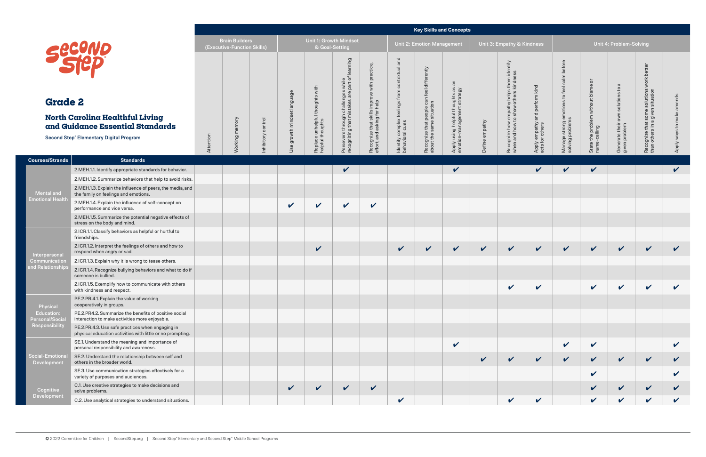| k Kindness                                        |                                                                |                                                    | Unit 4: Problem-Solving                            |                                                                               |                           |
|---------------------------------------------------|----------------------------------------------------------------|----------------------------------------------------|----------------------------------------------------|-------------------------------------------------------------------------------|---------------------------|
| Apply empathy and perform kind<br>acts for others | Manage strong emotions to feel calm before<br>solving problems | State the problem without blame or<br>name-calling | Generate their own solutions to a<br>given problem | Recognize that some solutions work better<br>than others in a given situation | Apply ways to make amends |
|                                                   |                                                                |                                                    |                                                    |                                                                               | V                         |
|                                                   |                                                                |                                                    |                                                    |                                                                               |                           |
|                                                   |                                                                |                                                    |                                                    |                                                                               |                           |
|                                                   |                                                                |                                                    |                                                    |                                                                               |                           |
|                                                   |                                                                |                                                    |                                                    |                                                                               |                           |
|                                                   |                                                                |                                                    |                                                    |                                                                               |                           |
| V                                                 | V                                                              | V                                                  | V                                                  |                                                                               | V                         |
|                                                   |                                                                |                                                    |                                                    |                                                                               |                           |
| ∕                                                 |                                                                | ∕                                                  | ∕                                                  | ∕                                                                             | ∕                         |
|                                                   |                                                                |                                                    |                                                    |                                                                               |                           |
|                                                   |                                                                |                                                    |                                                    |                                                                               |                           |
|                                                   |                                                                |                                                    |                                                    |                                                                               |                           |
|                                                   | V                                                              | V                                                  |                                                    |                                                                               | $\checkmark$              |
| $\checkmark$                                      | $\mathbf v$                                                    | $\overline{\mathbf{v}}$                            | V                                                  | V                                                                             | V                         |
|                                                   |                                                                | $\checkmark$                                       |                                                    |                                                                               | V                         |
|                                                   |                                                                | V                                                  | V                                                  | V                                                                             | $\checkmark$              |
| $\mathbf v$                                       |                                                                | $\checkmark$                                       | $\mathbf v$                                        | $\checkmark$                                                                  | $\checkmark$              |

|                                                               |                                                                                                                |           |                                                      |           |                       |                           |                                                                                         |                                                              |                                                  |                                                                        | <b>Key Skills and Concepts</b>                                       |                |                                                                                   |                               |                                                                   |                                                 |                                         |                                                     |              |
|---------------------------------------------------------------|----------------------------------------------------------------------------------------------------------------|-----------|------------------------------------------------------|-----------|-----------------------|---------------------------|-----------------------------------------------------------------------------------------|--------------------------------------------------------------|--------------------------------------------------|------------------------------------------------------------------------|----------------------------------------------------------------------|----------------|-----------------------------------------------------------------------------------|-------------------------------|-------------------------------------------------------------------|-------------------------------------------------|-----------------------------------------|-----------------------------------------------------|--------------|
|                                                               | Secono                                                                                                         |           | <b>Brain Builders</b><br>(Executive-Function Skills) |           |                       |                           | Unit 1: Growth Mindset<br>& Goal-Setting                                                |                                                              |                                                  | <b>Unit 2: Emotion Management</b>                                      |                                                                      |                | Unit 3: Empathy & Kindness                                                        |                               |                                                                   |                                                 | Unit 4: Problem-Solving                 |                                                     |              |
| <b>Grade 2</b>                                                |                                                                                                                |           |                                                      |           | anguage               | with<br>thoughts          | learning<br>Persevere through challenges while<br>recognizing that mistakes are part of | with practice,                                               | complex feelings from contextual and<br>ral cues | Recognize that people can feel differently<br>about the same situation | an<br>Apply using helpful thoughts as<br>emotion-management strategy |                | Recognize how empathy helps them identify<br>when and how to show others kindness | perform kind                  | calm before<br>Manage strong emotions to feel<br>solving problems | $\overline{\circ}$<br>$\circ$<br>bla<br>without | $\varpi$<br>$\mathtt{c}_1$<br>solutions | better<br>solutions work b<br>n situation<br>$\Box$ |              |
|                                                               | <b>North Carolina Healthful Living</b><br>and Guidance Essential Standards                                     |           |                                                      | control   | minds                 | e unhelpful t<br>thoughts |                                                                                         |                                                              |                                                  |                                                                        |                                                                      |                |                                                                                   | and                           |                                                                   | problem <sub>)</sub><br>ling                    | own:                                    | some<br>given<br>that                               | $\mathsf{S}$ |
|                                                               | <b>Second Step® Elementary Digital Program</b>                                                                 | Attention | Working memory                                       | nhibitory | growth<br>$\mathbb O$ | Replace<br>helpful th     |                                                                                         | Recognize that skills improve<br>effort, and asking for help | Identify<br>behavior                             |                                                                        |                                                                      | Define empathy |                                                                                   | Apply empathy acts for others |                                                                   | the p<br>-calli<br>State<br>name-               | Generate their of                       | Recognize th<br>than others i                       | <b>Apply</b> |
| <b>Courses/Strands</b>                                        | <b>Standards</b>                                                                                               |           |                                                      |           |                       |                           |                                                                                         |                                                              |                                                  |                                                                        |                                                                      |                |                                                                                   |                               |                                                                   |                                                 |                                         |                                                     |              |
|                                                               | 2.MEH.1.1. Identify appropriate standards for behavior.                                                        |           |                                                      |           |                       |                           | $\checkmark$                                                                            |                                                              |                                                  |                                                                        | $\checkmark$                                                         |                |                                                                                   | $\checkmark$                  | $\checkmark$                                                      | V                                               |                                         |                                                     | $\checkmark$ |
|                                                               | 2.MEH.1.2. Summarize behaviors that help to avoid risks.                                                       |           |                                                      |           |                       |                           |                                                                                         |                                                              |                                                  |                                                                        |                                                                      |                |                                                                                   |                               |                                                                   |                                                 |                                         |                                                     |              |
| <b>Mental and</b><br><b>Emotional Health</b>                  | 2.MEH.1.3. Explain the influence of peers, the media, and<br>the family on feelings and emotions.              |           |                                                      |           |                       |                           |                                                                                         |                                                              |                                                  |                                                                        |                                                                      |                |                                                                                   |                               |                                                                   |                                                 |                                         |                                                     |              |
|                                                               | 2.MEH.1.4. Explain the influence of self-concept on<br>performance and vice versa.                             |           |                                                      |           | $\checkmark$          | $\checkmark$              | $\checkmark$                                                                            | $\boldsymbol{\mathcal{U}}$                                   |                                                  |                                                                        |                                                                      |                |                                                                                   |                               |                                                                   |                                                 |                                         |                                                     |              |
|                                                               | 2.MEH.1.5. Summarize the potential negative effects of<br>stress on the body and mind.                         |           |                                                      |           |                       |                           |                                                                                         |                                                              |                                                  |                                                                        |                                                                      |                |                                                                                   |                               |                                                                   |                                                 |                                         |                                                     |              |
|                                                               | 2.ICR.1.1. Classify behaviors as helpful or hurtful to<br>friendships.                                         |           |                                                      |           |                       |                           |                                                                                         |                                                              |                                                  |                                                                        |                                                                      |                |                                                                                   |                               |                                                                   |                                                 |                                         |                                                     |              |
| Interpersonal                                                 | 2.ICR.1.2. Interpret the feelings of others and how to<br>respond when angry or sad.                           |           |                                                      |           |                       | $\checkmark$              |                                                                                         |                                                              | $\checkmark$                                     | V                                                                      | $\checkmark$                                                         | $\checkmark$   | $\checkmark$                                                                      | $\checkmark$                  | $\checkmark$                                                      | $\checkmark$                                    | $\checkmark$                            | $\checkmark$                                        | V            |
| Communication<br>and Relationships                            | 2.ICR.1.3. Explain why it is wrong to tease others.                                                            |           |                                                      |           |                       |                           |                                                                                         |                                                              |                                                  |                                                                        |                                                                      |                |                                                                                   |                               |                                                                   |                                                 |                                         |                                                     |              |
|                                                               | 2.ICR.1.4. Recognize bullying behaviors and what to do if<br>someone is bullied.                               |           |                                                      |           |                       |                           |                                                                                         |                                                              |                                                  |                                                                        |                                                                      |                |                                                                                   |                               |                                                                   |                                                 |                                         |                                                     |              |
|                                                               | 2.ICR.1.5. Exemplify how to communicate with others<br>with kindness and respect.                              |           |                                                      |           |                       |                           |                                                                                         |                                                              |                                                  |                                                                        |                                                                      |                | V                                                                                 |                               |                                                                   |                                                 |                                         |                                                     |              |
| Physical                                                      | PE.2.PR.4.1. Explain the value of working<br>cooperatively in groups.                                          |           |                                                      |           |                       |                           |                                                                                         |                                                              |                                                  |                                                                        |                                                                      |                |                                                                                   |                               |                                                                   |                                                 |                                         |                                                     |              |
| <b>Education:</b><br><b>Personal/Social</b><br>Responsibility | PE.2.PR4.2. Summarize the benefits of positive social<br>interaction to make activities more enjoyable.        |           |                                                      |           |                       |                           |                                                                                         |                                                              |                                                  |                                                                        |                                                                      |                |                                                                                   |                               |                                                                   |                                                 |                                         |                                                     |              |
|                                                               | PE.2.PR.4.3. Use safe practices when engaging in<br>physical education activities with little or no prompting. |           |                                                      |           |                       |                           |                                                                                         |                                                              |                                                  |                                                                        |                                                                      |                |                                                                                   |                               |                                                                   |                                                 |                                         |                                                     |              |
|                                                               | SE.1. Understand the meaning and importance of<br>personal responsibility and awareness.                       |           |                                                      |           |                       |                           |                                                                                         |                                                              |                                                  |                                                                        | $\checkmark$                                                         |                |                                                                                   |                               | $\checkmark$                                                      | $\checkmark$                                    |                                         |                                                     |              |
| <b>Social-Emotiona</b><br>Development                         | SE.2. Understand the relationship between self and<br>others in the broader world.                             |           |                                                      |           |                       |                           |                                                                                         |                                                              |                                                  |                                                                        |                                                                      | $\checkmark$   | $\checkmark$                                                                      | $\checkmark$                  | $\checkmark$                                                      | V                                               | V                                       | V                                                   |              |
|                                                               | SE.3. Use communication strategies effectively for a<br>variety of purposes and audiences.                     |           |                                                      |           |                       |                           |                                                                                         |                                                              |                                                  |                                                                        |                                                                      |                |                                                                                   |                               |                                                                   | $\checkmark$                                    |                                         |                                                     | $\checkmark$ |
| Cognitive<br>Development                                      | C.1. Use creative strategies to make decisions and<br>solve problems.                                          |           |                                                      |           | $\checkmark$          | $\checkmark$              | $\checkmark$                                                                            | $\checkmark$                                                 |                                                  |                                                                        |                                                                      |                |                                                                                   |                               |                                                                   |                                                 |                                         |                                                     |              |
|                                                               | C.2. Use analytical strategies to understand situations.                                                       |           |                                                      |           |                       |                           |                                                                                         |                                                              | $\checkmark$                                     |                                                                        |                                                                      |                | $\mathbf v$                                                                       | $\checkmark$                  |                                                                   | V                                               | $\boldsymbol{\mathcal{U}}$              |                                                     |              |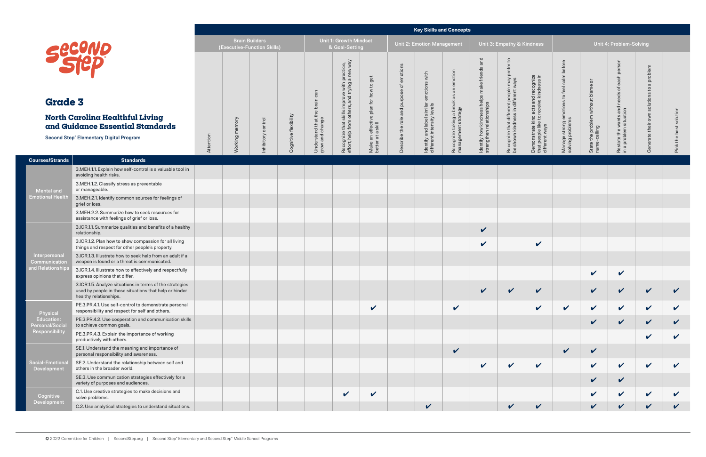#### **Key Skills and Concepts**

|                                                     |                                                                                                                                                                                                                                  |           |                |                                                      |                       |                                         |                                                                                         |                                                                            |                                                      |                                                          | <b>Key Skills and Concepts</b>                  |                                                                              |                                                                                                      |                                                                                                  |                                                                |                                                    |                                                            |                                                         |              |
|-----------------------------------------------------|----------------------------------------------------------------------------------------------------------------------------------------------------------------------------------------------------------------------------------|-----------|----------------|------------------------------------------------------|-----------------------|-----------------------------------------|-----------------------------------------------------------------------------------------|----------------------------------------------------------------------------|------------------------------------------------------|----------------------------------------------------------|-------------------------------------------------|------------------------------------------------------------------------------|------------------------------------------------------------------------------------------------------|--------------------------------------------------------------------------------------------------|----------------------------------------------------------------|----------------------------------------------------|------------------------------------------------------------|---------------------------------------------------------|--------------|
|                                                     |                                                                                                                                                                                                                                  |           |                | <b>Brain Builders</b><br>(Executive-Function Skills) |                       |                                         | Unit 1: Growth Mindset<br>& Goal-Setting                                                |                                                                            |                                                      | <b>Unit 2: Emotion Management</b>                        |                                                 |                                                                              | Unit 3: Empathy & Kindness                                                                           |                                                                                                  |                                                                |                                                    | Unit 4: Problem-Solving                                    |                                                         |              |
| <b>Grade 3</b>                                      | Secono<br>North Carolina Healthful Living                                                                                                                                                                                        |           |                |                                                      |                       | rstand that the brain can<br>and change | practice,<br>a new way<br>improve with p<br>srs, and trying a<br>skills im<br>n others, | get<br>$\mathtt{S}$<br>how<br>for<br>$\simeq$<br>$\frac{a}{b}$<br>$\omega$ | emotions<br>៉ៃ<br>$\omega$<br>$\Omega$<br>pur<br>and | with<br>otions                                           | emotion<br>$\overline{a}$<br>8g                 | and<br>make frier<br>ldentify how kindness helps<br>strengthen relationships | $\mathsf{c}_1$<br>efer<br>Recognize that different people may<br>be shown kindness in different ways | Demonstrate kind acts and recognize<br>that people like to receive kindness in<br>different ways | Manage strong emotions to feel calm before<br>solving problems | State the problem without blame or<br>name-calling | per<br>each<br>៉ិច<br>ဖ<br>ರ<br>wants and i<br>n situation | problem<br>$\sigma$<br>$\mathbf{c}$<br>solutions<br>own | olution      |
|                                                     | and Guidance Essential Standards                                                                                                                                                                                                 |           |                | control                                              |                       | $\sigma$                                |                                                                                         | effective<br>a skill                                                       |                                                      |                                                          |                                                 |                                                                              |                                                                                                      |                                                                                                  |                                                                |                                                    |                                                            | their                                                   |              |
|                                                     | <b>Second Step® Elementary Digital Program</b>                                                                                                                                                                                   | Attention | Working memory | Inhibitory                                           | Cognitive flexibility | Under<br>moub                           | Recognize that sl<br>effort, help from o                                                | $\frac{1}{6}$ $\frac{1}{6}$<br>Make:<br>better                             | Describe the role                                    | Identify and label similar<br>different intensity levels | Recognize taking a break<br>management strategy |                                                                              |                                                                                                      |                                                                                                  |                                                                |                                                    | Restate the w<br>in a problem s<br>$\frac{a}{1}$           | ate<br>Ge                                               | 든<br>Pick    |
| <b>Courses/Strands</b>                              | <b>Standards</b>                                                                                                                                                                                                                 |           |                |                                                      |                       |                                         |                                                                                         |                                                                            |                                                      |                                                          |                                                 |                                                                              |                                                                                                      |                                                                                                  |                                                                |                                                    |                                                            |                                                         |              |
|                                                     | 3.MEH.1.1. Explain how self-control is a valuable tool in<br>avoiding health risks.                                                                                                                                              |           |                |                                                      |                       |                                         |                                                                                         |                                                                            |                                                      |                                                          |                                                 |                                                                              |                                                                                                      |                                                                                                  |                                                                |                                                    |                                                            |                                                         |              |
| <b>Mental and</b>                                   | 3.MEH.1.2. Classify stress as preventable<br>or manageable.                                                                                                                                                                      |           |                |                                                      |                       |                                         |                                                                                         |                                                                            |                                                      |                                                          |                                                 |                                                                              |                                                                                                      |                                                                                                  |                                                                |                                                    |                                                            |                                                         |              |
| <b>Emotional Health</b>                             | 3.MEH.2.1. Identify common sources for feelings of<br>grief or loss.<br>3.MEH.2.2. Summarize how to seek resources for<br>assistance with feelings of grief or loss.<br>3.ICR.1.1. Summarize qualities and benefits of a healthy |           |                |                                                      |                       |                                         |                                                                                         |                                                                            |                                                      |                                                          |                                                 |                                                                              |                                                                                                      |                                                                                                  |                                                                |                                                    |                                                            |                                                         |              |
|                                                     |                                                                                                                                                                                                                                  |           |                |                                                      |                       |                                         |                                                                                         |                                                                            |                                                      |                                                          |                                                 |                                                                              |                                                                                                      |                                                                                                  |                                                                |                                                    |                                                            |                                                         |              |
|                                                     | relationship.                                                                                                                                                                                                                    |           |                |                                                      |                       |                                         |                                                                                         |                                                                            |                                                      |                                                          |                                                 | $\checkmark$                                                                 |                                                                                                      |                                                                                                  |                                                                |                                                    |                                                            |                                                         |              |
|                                                     | 3.ICR.1.2. Plan how to show compassion for all living<br>things and respect for other people's property.                                                                                                                         |           |                |                                                      |                       |                                         |                                                                                         |                                                                            |                                                      |                                                          |                                                 | $\checkmark$                                                                 |                                                                                                      | $\checkmark$                                                                                     |                                                                |                                                    |                                                            |                                                         |              |
| Interpersonal<br>Communication<br>and Relationships | 3.ICR.1.3. Illustrate how to seek help from an adult if a<br>weapon is found or a threat is communicated.                                                                                                                        |           |                |                                                      |                       |                                         |                                                                                         |                                                                            |                                                      |                                                          |                                                 |                                                                              |                                                                                                      |                                                                                                  |                                                                |                                                    |                                                            |                                                         |              |
|                                                     | 3.ICR.1.4. Illustrate how to effectively and respectfully<br>express opinions that differ.                                                                                                                                       |           |                |                                                      |                       |                                         |                                                                                         |                                                                            |                                                      |                                                          |                                                 |                                                                              |                                                                                                      |                                                                                                  |                                                                | $\checkmark$                                       | $\mathbf v$                                                |                                                         |              |
|                                                     | 3.ICR.1.5. Analyze situations in terms of the strategies<br>used by people in those situations that help or hinder<br>healthy relationships.                                                                                     |           |                |                                                      |                       |                                         |                                                                                         |                                                                            |                                                      |                                                          |                                                 | $\overline{v}$                                                               | $\mathbf{v}$                                                                                         | $\overline{\mathbf{v}}$                                                                          |                                                                | $\boldsymbol{\mathscr{L}}$                         | $\overline{u}$                                             | $\mathbf{v}$                                            |              |
| Physical                                            | PE.3.PR.4.1. Use self-control to demonstrate personal<br>responsibility and respect for self and others.                                                                                                                         |           |                |                                                      |                       |                                         |                                                                                         | $\checkmark$                                                               |                                                      |                                                          | $\checkmark$                                    |                                                                              |                                                                                                      | $\checkmark$                                                                                     | $\checkmark$                                                   | $\checkmark$                                       | $\mathbf{v}$                                               | $\checkmark$                                            | V            |
| <b>Education:</b><br><b>Personal/Social</b>         | PE.3.PR.4.2. Use cooperation and communication skills<br>to achieve common goals.                                                                                                                                                |           |                |                                                      |                       |                                         |                                                                                         |                                                                            |                                                      |                                                          |                                                 |                                                                              |                                                                                                      |                                                                                                  |                                                                | $\checkmark$                                       | $\mathbf{v}$                                               | $\checkmark$                                            | $\checkmark$ |
| Responsibility                                      | PE.3.PR.4.3. Explain the importance of working<br>productively with others.                                                                                                                                                      |           |                |                                                      |                       |                                         |                                                                                         |                                                                            |                                                      |                                                          |                                                 |                                                                              |                                                                                                      |                                                                                                  |                                                                |                                                    |                                                            | V                                                       |              |
|                                                     | SE.1. Understand the meaning and importance of<br>personal responsibility and awareness.                                                                                                                                         |           |                |                                                      |                       |                                         |                                                                                         |                                                                            |                                                      |                                                          | $\checkmark$                                    |                                                                              |                                                                                                      |                                                                                                  | $\checkmark$                                                   | $\checkmark$                                       |                                                            |                                                         |              |
| Social-Emotiona<br>Development                      | SE.2. Understand the relationship between self and<br>others in the broader world.                                                                                                                                               |           |                |                                                      |                       |                                         |                                                                                         |                                                                            |                                                      |                                                          |                                                 | $\checkmark$                                                                 | $\checkmark$                                                                                         | $\checkmark$                                                                                     |                                                                | $\checkmark$                                       | V                                                          | $\checkmark$                                            |              |
|                                                     | SE.3. Use communication strategies effectively for a<br>variety of purposes and audiences.                                                                                                                                       |           |                |                                                      |                       |                                         |                                                                                         |                                                                            |                                                      |                                                          |                                                 |                                                                              |                                                                                                      |                                                                                                  |                                                                | $\checkmark$                                       | $\boldsymbol{\mathcal{U}}$                                 |                                                         |              |
| Cognitive<br>Development                            | C.1. Use creative strategies to make decisions and<br>solve problems.                                                                                                                                                            |           |                |                                                      |                       |                                         | $\checkmark$                                                                            | $\boldsymbol{\mathcal{U}}$                                                 |                                                      |                                                          |                                                 |                                                                              |                                                                                                      |                                                                                                  |                                                                | $\checkmark$                                       |                                                            | $\checkmark$                                            |              |
|                                                     | C.2. Use analytical strategies to understand situations.                                                                                                                                                                         |           |                |                                                      |                       |                                         |                                                                                         |                                                                            |                                                      | $\checkmark$                                             |                                                 |                                                                              | $\checkmark$                                                                                         | $\checkmark$                                                                                     |                                                                | V                                                  |                                                            | V                                                       |              |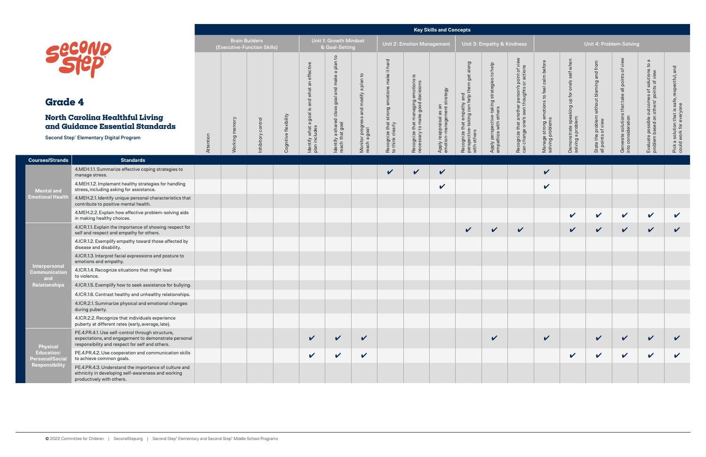#### **Key Skills and Concepts**

|                                             |                                                                                                                                                             |           |                       |                             |                       |                                  |                                                 |                                    |                                           |                                                                            | <b>Key Skills and Concepts</b>                         |                                                                             |                                                                      |                                                                                           |                                                                |                                                  |                                                                  |                                                                          |                                                                      |                                                              |
|---------------------------------------------|-------------------------------------------------------------------------------------------------------------------------------------------------------------|-----------|-----------------------|-----------------------------|-----------------------|----------------------------------|-------------------------------------------------|------------------------------------|-------------------------------------------|----------------------------------------------------------------------------|--------------------------------------------------------|-----------------------------------------------------------------------------|----------------------------------------------------------------------|-------------------------------------------------------------------------------------------|----------------------------------------------------------------|--------------------------------------------------|------------------------------------------------------------------|--------------------------------------------------------------------------|----------------------------------------------------------------------|--------------------------------------------------------------|
|                                             |                                                                                                                                                             |           | <b>Brain Builders</b> | (Executive-Function Skills) |                       |                                  | <b>Unit 1: Growth Mindset</b><br>& Goal-Setting |                                    |                                           | <b>Unit 2: Emotion Management</b>                                          |                                                        |                                                                             | Unit 3: Empathy & Kindness                                           |                                                                                           |                                                                |                                                  | Unit 4: Problem-Solving                                          |                                                                          |                                                                      |                                                              |
| <b>Grade 4</b>                              | Securio                                                                                                                                                     |           |                       |                             |                       | effective<br>what an<br>and      | 요<br>plan<br>$\sigma$<br>make<br>and<br>goal    | $\mathsf{c}_1$<br>a plan<br>modify | make it hard<br>emotions                  | :≌<br>Recognize that managing emotions<br>necessary to make good decisions |                                                        | along<br>get<br>em                                                          | Apply perspective-taking strategies to help<br>empathize with others | Recognize that another person's point of view<br>can change one's own thoughts or actions | Manage strong emotions to feel calm before<br>solving problems | one's self when                                  | State the problem without blaming and from<br>all points of view | of view<br>Generate solutions that take all points<br>into consideration | $\sigma$<br>$\mathbb{C}^1$<br>nes of solutions t<br>' points of view | sctful, and                                                  |
|                                             | <b>North Carolina Healthful Living</b><br>and Guidance Essential Standards                                                                                  |           |                       |                             |                       | $\overline{\omega}$<br>agoal     | SS<br>Identify a shared cla<br>reach that goal  | and                                | Recognize that strong<br>to think clearly |                                                                            | Apply reappraisal as an<br>emotion-management strategy | Recognize that empathy and<br>perspective-taking can help th<br>with others |                                                                      |                                                                                           |                                                                | Demonstrate speaking up for<br>solving a problem |                                                                  |                                                                          | Evaluate possible outcom<br>problem based on others'                 | Pick a solution that is safe, res<br>could work for everyone |
|                                             | <b>Second Step® Elementary Digital Program</b>                                                                                                              | Attention | Working memory        | Inhibitory control          | Cognitive flexibility | Identify what a<br>plan includes |                                                 | Monitor progress a<br>reach a goal |                                           |                                                                            |                                                        |                                                                             |                                                                      |                                                                                           |                                                                |                                                  |                                                                  |                                                                          |                                                                      |                                                              |
| <b>Courses/Strands</b>                      | <b>Standards</b>                                                                                                                                            |           |                       |                             |                       |                                  |                                                 |                                    |                                           |                                                                            |                                                        |                                                                             |                                                                      |                                                                                           |                                                                |                                                  |                                                                  |                                                                          |                                                                      |                                                              |
|                                             | 4.MEH.1.1. Summarize effective coping strategies to<br>manage stress.                                                                                       |           |                       |                             |                       |                                  |                                                 |                                    | $\mathbf{v}$                              | $\boldsymbol{\mathcal{U}}$                                                 | $\checkmark$                                           |                                                                             |                                                                      |                                                                                           | $\checkmark$                                                   |                                                  |                                                                  |                                                                          |                                                                      |                                                              |
| <b>Mental and</b>                           | 4.MEH.1.2. Implement healthy strategies for handling<br>stress, including asking for assistance.                                                            |           |                       |                             |                       |                                  |                                                 |                                    |                                           |                                                                            | $\boldsymbol{\mathcal{U}}$                             |                                                                             |                                                                      |                                                                                           | $\checkmark$                                                   |                                                  |                                                                  |                                                                          |                                                                      |                                                              |
| <b>Emotional Health</b>                     | 4.MEH.2.1. Identify unique personal characteristics that<br>contribute to positive mental health.                                                           |           |                       |                             |                       |                                  |                                                 |                                    |                                           |                                                                            |                                                        |                                                                             |                                                                      |                                                                                           |                                                                |                                                  |                                                                  |                                                                          |                                                                      |                                                              |
|                                             | 4.MEH.2.2. Explain how effective problem-solving aids<br>in making healthy choices.                                                                         |           |                       |                             |                       |                                  |                                                 |                                    |                                           |                                                                            |                                                        |                                                                             |                                                                      |                                                                                           |                                                                | $\checkmark$                                     | $\checkmark$                                                     | $\checkmark$                                                             | $\mathbf v$                                                          | $\checkmark$                                                 |
|                                             | 4.ICR.1.1. Explain the importance of showing respect for<br>self and respect and empathy for others.                                                        |           |                       |                             |                       |                                  |                                                 |                                    |                                           |                                                                            |                                                        | $\checkmark$                                                                | $\checkmark$                                                         | $\checkmark$                                                                              |                                                                | $\checkmark$                                     | $\checkmark$                                                     | $\checkmark$                                                             | $\checkmark$                                                         | $\checkmark$                                                 |
|                                             | 4.ICR.1.2. Exemplify empathy toward those affected by<br>disease and disability.                                                                            |           |                       |                             |                       |                                  |                                                 |                                    |                                           |                                                                            |                                                        |                                                                             |                                                                      |                                                                                           |                                                                |                                                  |                                                                  |                                                                          |                                                                      |                                                              |
| Interpersonal                               | 4.ICR.1.3. Interpret facial expressions and posture to<br>emotions and empathy.                                                                             |           |                       |                             |                       |                                  |                                                 |                                    |                                           |                                                                            |                                                        |                                                                             |                                                                      |                                                                                           |                                                                |                                                  |                                                                  |                                                                          |                                                                      |                                                              |
| <b>Communication</b><br>and                 | 4.ICR.1.4. Recognize situations that might lead<br>to violence.                                                                                             |           |                       |                             |                       |                                  |                                                 |                                    |                                           |                                                                            |                                                        |                                                                             |                                                                      |                                                                                           |                                                                |                                                  |                                                                  |                                                                          |                                                                      |                                                              |
| Relationships                               | 4.ICR.1.5. Exemplify how to seek assistance for bullying.                                                                                                   |           |                       |                             |                       |                                  |                                                 |                                    |                                           |                                                                            |                                                        |                                                                             |                                                                      |                                                                                           |                                                                |                                                  |                                                                  |                                                                          |                                                                      |                                                              |
|                                             | 4.ICR.1.6. Contrast healthy and unhealthy relationships.                                                                                                    |           |                       |                             |                       |                                  |                                                 |                                    |                                           |                                                                            |                                                        |                                                                             |                                                                      |                                                                                           |                                                                |                                                  |                                                                  |                                                                          |                                                                      |                                                              |
|                                             | 4.ICR.2.1. Summarize physical and emotional changes<br>during puberty.                                                                                      |           |                       |                             |                       |                                  |                                                 |                                    |                                           |                                                                            |                                                        |                                                                             |                                                                      |                                                                                           |                                                                |                                                  |                                                                  |                                                                          |                                                                      |                                                              |
|                                             | 4.ICR.2.2. Recognize that individuals experience<br>puberty at different rates (early, average, late).                                                      |           |                       |                             |                       |                                  |                                                 |                                    |                                           |                                                                            |                                                        |                                                                             |                                                                      |                                                                                           |                                                                |                                                  |                                                                  |                                                                          |                                                                      |                                                              |
| <b>Physical</b>                             | PE.4.PR.4.1. Use self-control through structure,<br>expectations, and engagement to demonstrate personal<br>responsibility and respect for self and others. |           |                       |                             |                       | $\checkmark$                     | $\checkmark$                                    | $\checkmark$                       |                                           |                                                                            |                                                        |                                                                             | $\checkmark$                                                         |                                                                                           | $\checkmark$                                                   |                                                  | $\checkmark$                                                     | $\checkmark$                                                             | $\checkmark$                                                         | $\checkmark$                                                 |
| <b>Education:</b><br><b>Personal/Social</b> | PE.4.PR.4.2. Use cooperation and communication skills<br>to achieve common goals.                                                                           |           |                       |                             |                       | $\checkmark$                     | $\checkmark$                                    | $\checkmark$                       |                                           |                                                                            |                                                        |                                                                             |                                                                      |                                                                                           |                                                                | $\checkmark$                                     | $\checkmark$                                                     | $\checkmark$                                                             | $\checkmark$                                                         | $\checkmark$                                                 |
| <b>Responsibility</b>                       | PE.4.PR.4.3. Understand the importance of culture and<br>ethnicity in developing self-awareness and working<br>productively with others.                    |           |                       |                             |                       |                                  |                                                 |                                    |                                           |                                                                            |                                                        |                                                                             |                                                                      |                                                                                           |                                                                |                                                  |                                                                  |                                                                          |                                                                      |                                                              |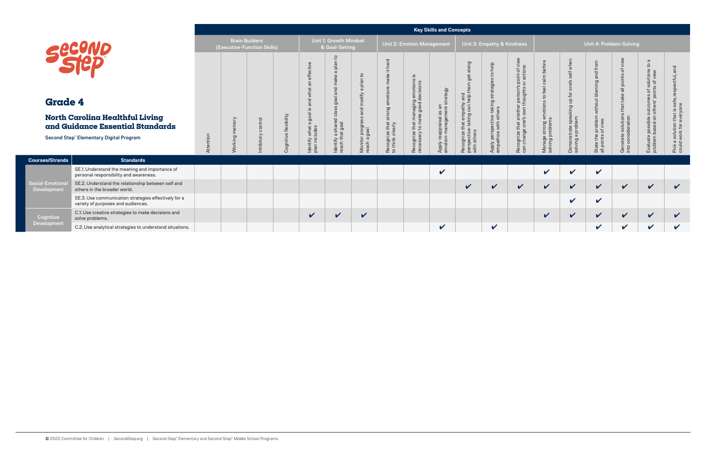**Cognitive** Development

|                        |                                                                                                                              |           |                           |                             |                          |                                                                                                                                     |                                                                                                         |                                                                       |                                                                           |                                                                                    | <b>Key Skills and Concepts</b>                                        |                                                                                              |                                                                                             |                                                                                                                       |                                                                                                        |                                                                             |                                                                           |                                                                                  |                                                                                                                  |                                                               |
|------------------------|------------------------------------------------------------------------------------------------------------------------------|-----------|---------------------------|-----------------------------|--------------------------|-------------------------------------------------------------------------------------------------------------------------------------|---------------------------------------------------------------------------------------------------------|-----------------------------------------------------------------------|---------------------------------------------------------------------------|------------------------------------------------------------------------------------|-----------------------------------------------------------------------|----------------------------------------------------------------------------------------------|---------------------------------------------------------------------------------------------|-----------------------------------------------------------------------------------------------------------------------|--------------------------------------------------------------------------------------------------------|-----------------------------------------------------------------------------|---------------------------------------------------------------------------|----------------------------------------------------------------------------------|------------------------------------------------------------------------------------------------------------------|---------------------------------------------------------------|
|                        | Second                                                                                                                       |           | <b>Brain Builders</b>     | (Executive-Function Skills) |                          |                                                                                                                                     | Unit 1: Growth Mindset<br>& Goal-Setting                                                                |                                                                       |                                                                           | <b>Unit 2: Emotion Management</b>                                                  |                                                                       |                                                                                              | Unit 3: Empathy & Kindness                                                                  |                                                                                                                       |                                                                                                        |                                                                             |                                                                           | Unit 4: Problem-Solving                                                          |                                                                                                                  |                                                               |
| <b>Grade 4</b>         | <b>North Carolina Healthful Living</b><br>and Guidance Essential Standards<br><b>Second Step® Elementary Digital Program</b> | Attention | mory<br>$\sigma$<br>Worki | ntrol<br>nhibitory          | flexibility<br>Cognitive | ctive<br>effe<br>$\overline{a}$<br>$\overline{\sigma}$<br>$\overline{\sigma}$<br>ğ,<br>$\sigma$<br>Identify what a<br>plan includes | 요<br>plan<br>$\sigma$<br>ă<br>S<br>ㅎ<br>9 <sub>o</sub><br>elo<br>Identify a shared c<br>reach that goal | Ξ,<br>plan<br>$\sigma$<br>dify<br>ᇹ<br>Monitor progre<br>reach a goal | hard<br>$\equiv$<br>ake<br>strong<br>Recognize that s<br>to think clearly | anaging emotions is<br>a good decisions<br>Recognize that mar<br>necessary to make | strategy<br>as an<br>ment s<br>Apply reappraisal a<br>emotion-managem | along<br>ge<br>£<br>Recognize that empathy and<br>perspective-taking can help<br>with others | help<br>$\mathsf{C}$<br>ēā<br>ing strate<br>Apply perspective-taki<br>empathize with others | 5 <sub>0</sub><br>point of <b>v</b><br>or actions<br>Recognize that another person's<br>can change one's own thoughts | $\overline{\sigma}$<br>bef<br>$\frac{1}{2}$<br>ê<br>$\circ$<br>Manage strong emoti<br>solving problems | when<br>$\overline{5}$<br>qr<br>g<br>Demonstrate speak<br>solving a problem | from<br>and<br>without blaming<br>State the problem<br>all points of view | view<br>đ<br>points<br>$\overline{5}$<br>Generate solution<br>into consideration | $\sigma$<br>$\mathbb{S}^1$<br>Evaluate possible outcomes of solutions<br>problem based on others' points of view | and<br>Pick a solution that is sat<br>could work for everyone |
| <b>es/Strands</b>      | <b>Standards</b>                                                                                                             |           |                           |                             |                          |                                                                                                                                     |                                                                                                         |                                                                       |                                                                           |                                                                                    |                                                                       |                                                                                              |                                                                                             |                                                                                                                       |                                                                                                        |                                                                             |                                                                           |                                                                                  |                                                                                                                  |                                                               |
|                        | SE.1. Understand the meaning and importance of<br>personal responsibility and awareness.                                     |           |                           |                             |                          |                                                                                                                                     |                                                                                                         |                                                                       |                                                                           |                                                                                    | V                                                                     |                                                                                              |                                                                                             |                                                                                                                       | V                                                                                                      | V                                                                           | $\checkmark$                                                              |                                                                                  |                                                                                                                  |                                                               |
| -Emotional<br>elopment | SE.2. Understand the relationship between self and<br>others in the broader world.                                           |           |                           |                             |                          |                                                                                                                                     |                                                                                                         |                                                                       |                                                                           |                                                                                    |                                                                       | $\mathbf v$                                                                                  | $\checkmark$                                                                                | $\mathbf v$                                                                                                           | $\checkmark$                                                                                           | V                                                                           | $\checkmark$                                                              | $\mathbf v$                                                                      | $\checkmark$                                                                                                     | $\checkmark$                                                  |
|                        | SE.3. Use communication strategies effectively for a<br>variety of purposes and audiences.                                   |           |                           |                             |                          |                                                                                                                                     |                                                                                                         |                                                                       |                                                                           |                                                                                    |                                                                       |                                                                                              |                                                                                             |                                                                                                                       |                                                                                                        | V                                                                           | $\checkmark$                                                              |                                                                                  |                                                                                                                  |                                                               |
| ognitive               | C.1. Use creative strategies to make decisions and<br>solve problems.                                                        |           |                           |                             |                          | $\checkmark$                                                                                                                        | $\checkmark$                                                                                            | $\checkmark$                                                          |                                                                           |                                                                                    |                                                                       |                                                                                              |                                                                                             |                                                                                                                       | $\checkmark$                                                                                           | V                                                                           | $\checkmark$                                                              | $\boldsymbol{\mathcal{U}}$                                                       | $\checkmark$                                                                                                     | $\boldsymbol{\mathcal{U}}$                                    |
| elopment               | C.2. Use analytical strategies to understand situations.                                                                     |           |                           |                             |                          |                                                                                                                                     |                                                                                                         |                                                                       |                                                                           |                                                                                    | $\boldsymbol{\mathcal{U}}$                                            |                                                                                              | $\checkmark$                                                                                |                                                                                                                       |                                                                                                        |                                                                             | $\checkmark$                                                              | V                                                                                | $\mathbf v$                                                                                                      | $\mathbf v$                                                   |

**Courses/Strands Standards**

Social-Emotional Development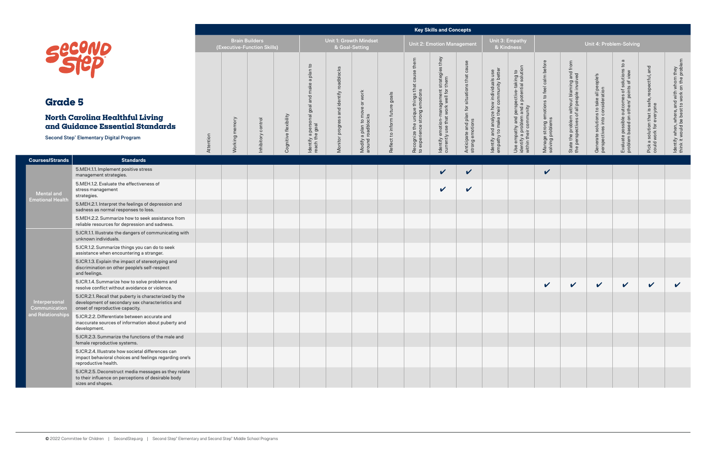|                                |                                                                                                                                               |           |                 |                                                      |                       |                                         |                         |                                            |                                |                                                                              | <b>Key Skills and Concepts</b>                                                       |                                                            |                                                                                    |                                                                                                                |                                                                |                                                                                       |                                                                            |                                                                                    |                                                                          |                                                                                           |
|--------------------------------|-----------------------------------------------------------------------------------------------------------------------------------------------|-----------|-----------------|------------------------------------------------------|-----------------------|-----------------------------------------|-------------------------|--------------------------------------------|--------------------------------|------------------------------------------------------------------------------|--------------------------------------------------------------------------------------|------------------------------------------------------------|------------------------------------------------------------------------------------|----------------------------------------------------------------------------------------------------------------|----------------------------------------------------------------|---------------------------------------------------------------------------------------|----------------------------------------------------------------------------|------------------------------------------------------------------------------------|--------------------------------------------------------------------------|-------------------------------------------------------------------------------------------|
|                                |                                                                                                                                               |           |                 | <b>Brain Builders</b><br>(Executive-Function Skills) |                       |                                         |                         | Unit 1: Growth Mindset<br>& Goal-Setting   |                                |                                                                              | <b>Unit 2: Emotion Management</b>                                                    |                                                            | Unit 3: Empathy                                                                    | & Kindness                                                                                                     |                                                                |                                                                                       | Unit 4: Problem-Solving                                                    |                                                                                    |                                                                          |                                                                                           |
|                                | <b>SECOND</b>                                                                                                                                 |           |                 |                                                      |                       | a plan to<br>make                       | and identify roadblocks | work                                       |                                | Recognize the unique things that cause them<br>to experience strong emotions | ldentify emotion-management strategies they<br>currently use that work well for them | $\circ$                                                    |                                                                                    |                                                                                                                |                                                                |                                                                                       |                                                                            | $\omega$<br>$\mathtt{c}$                                                           |                                                                          | ldentify when, where, and with whom they<br>think it would be best to work on the problem |
| <b>Grade 5</b>                 |                                                                                                                                               |           |                 |                                                      |                       | goal and i                              |                         | $\overline{\sigma}$                        |                                |                                                                              |                                                                                      |                                                            |                                                                                    |                                                                                                                |                                                                |                                                                                       |                                                                            |                                                                                    |                                                                          |                                                                                           |
|                                | <b>North Carolina Healthful Living</b><br>and Guidance Essential Standards<br><b>Second Step® Elementary Digital Program</b>                  | Attention | memory<br>king  | Inhibitory control                                   | Cognitive flexibility | ldentify a personal g<br>reach the goal | Monitor progress        | Modify a plan to move<br>around roadblocks | Reflect to inform future goals |                                                                              |                                                                                      | Anticipate and plan for situations that<br>strong emotions | ldentify and analyze how individuals use<br>empathy to make their community better | Use empathy and perspective-taking to<br>identify a problem and a potential solution<br>within their community | Manage strong emotions to feel calm before<br>solving problems | State the problem without blaming and from<br>the perspectives of all people involved | Generate solutions to take all people's<br>perspectives into consideration | Evaluate possible outcomes of solutions<br>problem based on others' points of view | Pick a solution that is safe, respectful, and<br>could work for everyone |                                                                                           |
| <b>Courses/Strands</b>         | <b>Standards</b>                                                                                                                              |           | $\mathcal N$ or |                                                      |                       |                                         |                         |                                            |                                |                                                                              |                                                                                      |                                                            |                                                                                    |                                                                                                                |                                                                |                                                                                       |                                                                            |                                                                                    |                                                                          |                                                                                           |
|                                | 5.MEH.1.1. Implement positive stress<br>management strategies.                                                                                |           |                 |                                                      |                       |                                         |                         |                                            |                                |                                                                              | $\checkmark$                                                                         | $\checkmark$                                               |                                                                                    |                                                                                                                | $\boldsymbol{\mathcal{U}}$                                     |                                                                                       |                                                                            |                                                                                    |                                                                          |                                                                                           |
| Mental and                     | 5.MEH.1.2. Evaluate the effectiveness of<br>stress management<br>strategies.                                                                  |           |                 |                                                      |                       |                                         |                         |                                            |                                |                                                                              | $\checkmark$                                                                         | $\checkmark$                                               |                                                                                    |                                                                                                                |                                                                |                                                                                       |                                                                            |                                                                                    |                                                                          |                                                                                           |
| <b>Emotional Healtl</b>        | 5.MEH.2.1. Interpret the feelings of depression and<br>sadness as normal responses to loss.                                                   |           |                 |                                                      |                       |                                         |                         |                                            |                                |                                                                              |                                                                                      |                                                            |                                                                                    |                                                                                                                |                                                                |                                                                                       |                                                                            |                                                                                    |                                                                          |                                                                                           |
|                                | 5.MEH.2.2. Summarize how to seek assistance from<br>reliable resources for depression and sadness.                                            |           |                 |                                                      |                       |                                         |                         |                                            |                                |                                                                              |                                                                                      |                                                            |                                                                                    |                                                                                                                |                                                                |                                                                                       |                                                                            |                                                                                    |                                                                          |                                                                                           |
|                                | 5.ICR.1.1. Illustrate the dangers of communicating with<br>unknown individuals.                                                               |           |                 |                                                      |                       |                                         |                         |                                            |                                |                                                                              |                                                                                      |                                                            |                                                                                    |                                                                                                                |                                                                |                                                                                       |                                                                            |                                                                                    |                                                                          |                                                                                           |
|                                | 5.ICR.1.2. Summarize things you can do to seek<br>assistance when encountering a stranger.                                                    |           |                 |                                                      |                       |                                         |                         |                                            |                                |                                                                              |                                                                                      |                                                            |                                                                                    |                                                                                                                |                                                                |                                                                                       |                                                                            |                                                                                    |                                                                          |                                                                                           |
|                                | 5.ICR.1.3. Explain the impact of stereotyping and<br>discrimination on other people's self-respect<br>and feelings.                           |           |                 |                                                      |                       |                                         |                         |                                            |                                |                                                                              |                                                                                      |                                                            |                                                                                    |                                                                                                                |                                                                |                                                                                       |                                                                            |                                                                                    |                                                                          |                                                                                           |
|                                | 5.ICR.1.4. Summarize how to solve problems and<br>resolve conflict without avoidance or violence.                                             |           |                 |                                                      |                       |                                         |                         |                                            |                                |                                                                              |                                                                                      |                                                            |                                                                                    |                                                                                                                | $\vee$                                                         | $\mathbf{v}$                                                                          | $\sqrt{2}$                                                                 | $\sqrt{2}$                                                                         | $\mathbf{v}$                                                             | V                                                                                         |
| Interpersonal<br>Communication | 5.ICR.2.1. Recall that puberty is characterized by the<br>development of secondary sex characteristics and<br>onset of reproductive capacity. |           |                 |                                                      |                       |                                         |                         |                                            |                                |                                                                              |                                                                                      |                                                            |                                                                                    |                                                                                                                |                                                                |                                                                                       |                                                                            |                                                                                    |                                                                          |                                                                                           |
| and Relationship               | 5.ICR.2.2. Differentiate between accurate and<br>inaccurate sources of information about puberty and<br>development.                          |           |                 |                                                      |                       |                                         |                         |                                            |                                |                                                                              |                                                                                      |                                                            |                                                                                    |                                                                                                                |                                                                |                                                                                       |                                                                            |                                                                                    |                                                                          |                                                                                           |
|                                | 5.ICR.2.3. Summarize the functions of the male and<br>female reproductive systems.                                                            |           |                 |                                                      |                       |                                         |                         |                                            |                                |                                                                              |                                                                                      |                                                            |                                                                                    |                                                                                                                |                                                                |                                                                                       |                                                                            |                                                                                    |                                                                          |                                                                                           |
|                                | 5.ICR.2.4. Illustrate how societal differences can<br>impact behavioral choices and feelings regarding one's<br>reproductive health.          |           |                 |                                                      |                       |                                         |                         |                                            |                                |                                                                              |                                                                                      |                                                            |                                                                                    |                                                                                                                |                                                                |                                                                                       |                                                                            |                                                                                    |                                                                          |                                                                                           |
|                                | 5.ICR.2.5. Deconstruct media messages as they relate<br>to their influence on perceptions of desirable body<br>sizes and shapes.              |           |                 |                                                      |                       |                                         |                         |                                            |                                |                                                                              |                                                                                      |                                                            |                                                                                    |                                                                                                                |                                                                |                                                                                       |                                                                            |                                                                                    |                                                                          |                                                                                           |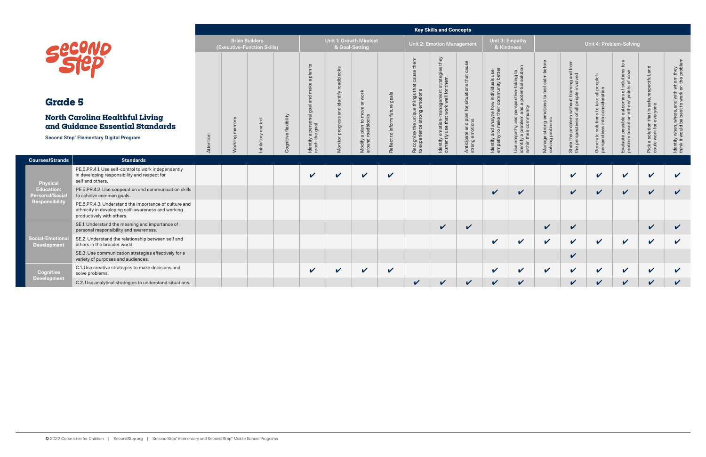|                                              |                                                                                                                                          |           |                   |                                                      |                          |                                                                                                                        |                                                                                    |                                                    |                                                |                                                                                            | <b>Key Skills and Concepts</b>                                                             |                                                                              |                                                                                    |                                                                                                                                                                                              |                                                                     |                                                                                        |                                                                            |                                                                                                                                     |                                                                                    |                                                                                           |
|----------------------------------------------|------------------------------------------------------------------------------------------------------------------------------------------|-----------|-------------------|------------------------------------------------------|--------------------------|------------------------------------------------------------------------------------------------------------------------|------------------------------------------------------------------------------------|----------------------------------------------------|------------------------------------------------|--------------------------------------------------------------------------------------------|--------------------------------------------------------------------------------------------|------------------------------------------------------------------------------|------------------------------------------------------------------------------------|----------------------------------------------------------------------------------------------------------------------------------------------------------------------------------------------|---------------------------------------------------------------------|----------------------------------------------------------------------------------------|----------------------------------------------------------------------------|-------------------------------------------------------------------------------------------------------------------------------------|------------------------------------------------------------------------------------|-------------------------------------------------------------------------------------------|
|                                              |                                                                                                                                          |           |                   | <b>Brain Builders</b><br>(Executive-Function Skills) |                          |                                                                                                                        |                                                                                    | <b>Unit 1: Growth Mindset</b><br>& Goal-Setting    |                                                |                                                                                            | <b>Unit 2: Emotion Management</b>                                                          |                                                                              | Unit 3: Empathy<br>& Kindness                                                      |                                                                                                                                                                                              |                                                                     |                                                                                        | Unit 4: Problem-Solving                                                    |                                                                                                                                     |                                                                                    |                                                                                           |
| <b>Grade 5</b>                               | <b>North Carolina Healthful Living</b><br>and Guidance Essential Standards<br>Second Step® Elementary Digital Program                    | Attention | memory<br>Working | control<br>nhibitory                                 | flexibility<br>Cognitive | $\mathtt{c}$<br>plan<br>$\boldsymbol{\varpi}$<br>make<br>and<br>personal goal a<br>9 goal<br>Identify a p<br>reach the | roadblocks<br>identify<br><b>D</b><br>등<br>$\omega$<br>progre<br>itor<br>$\bar{N}$ | work<br>Modify a plan to move<br>around roadblocks | goals<br>$\sigma$<br>$\overline{5}$<br>$\circ$ | ₽<br>9S<br>€<br>e unique things t<br>strong emotions<br>Recognize the u<br>to experience s | they<br>ဖ<br>strategies<br>ldentify emotion-management<br>currently use that work well for | S<br>situation<br>for<br>$\subset$<br>Anticipate and plar<br>strong emotions | Identify and analyze how individuals use<br>empathy to make their community better | taking to<br>ial solution<br>potential<br>≔<br>g<br>and<br>empathy and problem and the problem of the control of $\mathbb{R}^n$<br>com<br>Use empa<br>identify a <sub>l</sub><br>within thei | calm before<br>to feel<br>Manage strong emotion<br>solving problems | problem without blaming and from<br>ectives of all people involved<br>State the perspe | Generate solutions to take all people's<br>perspectives into consideration | $\sigma$<br>$\overline{5}$<br>solution<br>s of view<br>ð<br>ō<br>outcomes<br>nothers' p<br>possible<br>based on<br>Evaluate problem | is safe, respectful, and<br>/one<br>Pick a solution that i<br>could work for every | ldentify when, where, and with whom they<br>think it would be best to work on the problem |
| <b>Courses/Strands</b>                       | <b>Standards</b>                                                                                                                         |           |                   |                                                      |                          |                                                                                                                        |                                                                                    |                                                    |                                                |                                                                                            |                                                                                            |                                                                              |                                                                                    |                                                                                                                                                                                              |                                                                     |                                                                                        |                                                                            |                                                                                                                                     |                                                                                    |                                                                                           |
| Physical                                     | PE.5.PR.4.1. Use self-control to work independently<br>in developing responsibility and respect for<br>self and others.                  |           |                   |                                                      |                          | $\mathbf{v}$                                                                                                           | V                                                                                  | V                                                  | $\mathbf v$                                    |                                                                                            |                                                                                            |                                                                              |                                                                                    |                                                                                                                                                                                              |                                                                     | $\checkmark$                                                                           | $\mathbf v$                                                                | $\boldsymbol{\mathcal{U}}$                                                                                                          | $\boldsymbol{\mathcal{U}}$                                                         | $\boldsymbol{\mathcal{U}}$                                                                |
| <b>Education:</b><br>Personal/Socia          | PE.5.PR.4.2. Use cooperation and communication skills<br>to achieve common goals.                                                        |           |                   |                                                      |                          |                                                                                                                        |                                                                                    |                                                    |                                                |                                                                                            |                                                                                            |                                                                              | $\checkmark$                                                                       | $\boldsymbol{\mathcal{U}}$                                                                                                                                                                   |                                                                     | $\checkmark$                                                                           | $\checkmark$                                                               | $\boldsymbol{\mathcal{U}}$                                                                                                          | $\checkmark$                                                                       | $\checkmark$                                                                              |
| Responsibility                               | PE.5.PR.4.3. Understand the importance of culture and<br>ethnicity in developing self-awareness and working<br>productively with others. |           |                   |                                                      |                          |                                                                                                                        |                                                                                    |                                                    |                                                |                                                                                            |                                                                                            |                                                                              |                                                                                    |                                                                                                                                                                                              |                                                                     |                                                                                        |                                                                            |                                                                                                                                     |                                                                                    |                                                                                           |
|                                              | SE.1. Understand the meaning and importance of<br>personal responsibility and awareness.                                                 |           |                   |                                                      |                          |                                                                                                                        |                                                                                    |                                                    |                                                |                                                                                            | $\checkmark$                                                                               | $\boldsymbol{\mathcal{U}}$                                                   |                                                                                    |                                                                                                                                                                                              | $\checkmark$                                                        | $\checkmark$                                                                           |                                                                            |                                                                                                                                     | $\checkmark$                                                                       | $\checkmark$                                                                              |
| <b>Social-Emotiona</b><br><b>Development</b> | SE.2. Understand the relationship between self and<br>others in the broader world.                                                       |           |                   |                                                      |                          |                                                                                                                        |                                                                                    |                                                    |                                                |                                                                                            |                                                                                            |                                                                              | $\checkmark$                                                                       | $\checkmark$                                                                                                                                                                                 | $\checkmark$                                                        | $\checkmark$                                                                           | $\checkmark$                                                               | $\checkmark$                                                                                                                        | $\checkmark$                                                                       | $\mathbf v$                                                                               |
|                                              | SE.3. Use communication strategies effectively for a<br>variety of purposes and audiences.                                               |           |                   |                                                      |                          |                                                                                                                        |                                                                                    |                                                    |                                                |                                                                                            |                                                                                            |                                                                              |                                                                                    |                                                                                                                                                                                              |                                                                     | $\checkmark$                                                                           |                                                                            |                                                                                                                                     |                                                                                    |                                                                                           |
| <b>Cognitive</b><br><b>Development</b>       | C.1. Use creative strategies to make decisions and<br>solve problems.                                                                    |           |                   |                                                      |                          | $\checkmark$                                                                                                           | V                                                                                  | $\checkmark$                                       | $\checkmark$                                   |                                                                                            |                                                                                            |                                                                              | $\checkmark$                                                                       | $\checkmark$                                                                                                                                                                                 | $\checkmark$                                                        | $\checkmark$                                                                           | $\checkmark$                                                               | $\checkmark$                                                                                                                        | $\checkmark$                                                                       | V                                                                                         |
|                                              | C.2. Use analytical strategies to understand situations.                                                                                 |           |                   |                                                      |                          |                                                                                                                        |                                                                                    |                                                    |                                                | $\boldsymbol{\nu}$                                                                         | V                                                                                          | $\checkmark$                                                                 | V                                                                                  | $\boldsymbol{\mathcal{U}}$                                                                                                                                                                   |                                                                     | $\boldsymbol{\nu}$                                                                     | V                                                                          | V                                                                                                                                   | V                                                                                  | $\boldsymbol{\mathcal{U}}$                                                                |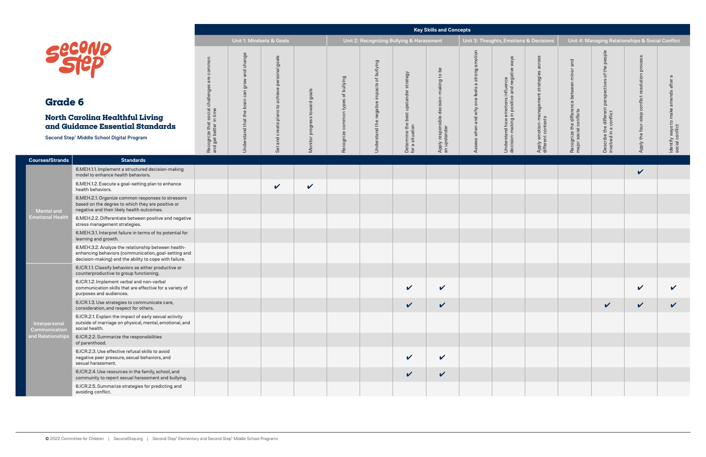| & Harassment                                              |                                                         |                                                | Unit 3: Thoughts, Emotions & Decisions                                             |                                                                  |                                                                      | Unit 4: Managing Relationships & Social Conflict                            |                                                 |                                                         |
|-----------------------------------------------------------|---------------------------------------------------------|------------------------------------------------|------------------------------------------------------------------------------------|------------------------------------------------------------------|----------------------------------------------------------------------|-----------------------------------------------------------------------------|-------------------------------------------------|---------------------------------------------------------|
| Derettille tile best disteller strandy<br>for a situation | Apply responsible decision-making to be<br>an upstander | Assess when and why one feels a strong emotion | decision-making in positive and negative ways<br>Understand how emotions influence | Apply emotion-management strategies across<br>different contexts | Recognize the difference between minor and<br>major social conflicts | Describe the different perspectives of the people<br>involved in a conflict | Apply the four-step conflict resolution process | Identify ways to make amends after a<br>social conflict |
|                                                           |                                                         |                                                |                                                                                    |                                                                  |                                                                      |                                                                             | $\checkmark$                                    |                                                         |
|                                                           |                                                         |                                                |                                                                                    |                                                                  |                                                                      |                                                                             |                                                 |                                                         |
|                                                           |                                                         |                                                |                                                                                    |                                                                  |                                                                      |                                                                             |                                                 |                                                         |
|                                                           |                                                         |                                                |                                                                                    |                                                                  |                                                                      |                                                                             |                                                 |                                                         |
|                                                           |                                                         |                                                |                                                                                    |                                                                  |                                                                      |                                                                             |                                                 |                                                         |
|                                                           |                                                         |                                                |                                                                                    |                                                                  |                                                                      |                                                                             |                                                 |                                                         |
| V                                                         | $\checkmark$                                            |                                                |                                                                                    |                                                                  |                                                                      |                                                                             | $\checkmark$                                    | V                                                       |
| $\checkmark$                                              | $\checkmark$                                            |                                                |                                                                                    |                                                                  |                                                                      | $\boldsymbol{\mathcal{U}}$                                                  | $\checkmark$                                    |                                                         |
|                                                           |                                                         |                                                |                                                                                    |                                                                  |                                                                      |                                                                             |                                                 |                                                         |
|                                                           |                                                         |                                                |                                                                                    |                                                                  |                                                                      |                                                                             |                                                 |                                                         |
| V                                                         | $\checkmark$                                            |                                                |                                                                                    |                                                                  |                                                                      |                                                                             |                                                 |                                                         |
| $\checkmark$                                              | $\checkmark$                                            |                                                |                                                                                    |                                                                  |                                                                      |                                                                             |                                                 |                                                         |
|                                                           |                                                         |                                                |                                                                                    |                                                                  |                                                                      |                                                                             |                                                 |                                                         |

**Courses/Strands Standards**

Mental and Emotional Health

> $6$ .ICR.2.5. Sumn avoiding conflict.

|                                                                                                                                                                       |                                                                                |                                                           |                                                      |                                        |                                             |                                                                 |                                                                         | <b>Key Skills and Concepts</b>                          |                                                |                                                                                                 |                                                                     |                                                                         |                                                                                         |                                                    |                                                                       |
|-----------------------------------------------------------------------------------------------------------------------------------------------------------------------|--------------------------------------------------------------------------------|-----------------------------------------------------------|------------------------------------------------------|----------------------------------------|---------------------------------------------|-----------------------------------------------------------------|-------------------------------------------------------------------------|---------------------------------------------------------|------------------------------------------------|-------------------------------------------------------------------------------------------------|---------------------------------------------------------------------|-------------------------------------------------------------------------|-----------------------------------------------------------------------------------------|----------------------------------------------------|-----------------------------------------------------------------------|
|                                                                                                                                                                       |                                                                                |                                                           | Unit 1: Mindsets & Goals                             |                                        |                                             | Unit 2: Recognizing Bullying & Harassment                       |                                                                         |                                                         |                                                | Unit 3: Thoughts, Emotions & Decisions                                                          |                                                                     |                                                                         | Unit 4: Managing Relationships & Social Conflict                                        |                                                    |                                                                       |
| ence<br>1ep<br>6<br>arolina Healthful Living<br>dance Essential Standards<br><sup>®</sup> Middle School Digital Program                                               | common<br>$\Phi$<br>Recognize that social challenges<br>and get better in time | change<br>and<br>grow<br>can<br>Understand that the brain | goals<br>and create plans to achieve personal<br>Set | goals<br>toward<br>progress<br>Monitor | of bullying<br>types<br>common<br>Recognize | bullying<br>$\rm ^{+}$<br>impacts<br>negative<br>Understand the | strategy<br>best upstander<br>Determine the <b>t</b><br>for a situation | Apply responsible decision-making to be<br>an upstander | Assess when and why one feels a strong emotion | ways<br>emotions influence<br>in positive and negative<br>Understand how e<br>decision-making i | across<br>Apply emotion-management strategies<br>different contexts | and<br>Recognize the difference between minor<br>major social conflicts | Describe the different perspectives of the people<br>involved in a conflict<br>$\omega$ | conflict resolution process<br>Apply the four-step | a<br>after<br>amends<br>make<br>Identify ways to r<br>social conflict |
| <b>Standards</b>                                                                                                                                                      |                                                                                |                                                           |                                                      |                                        |                                             |                                                                 |                                                                         |                                                         |                                                |                                                                                                 |                                                                     |                                                                         |                                                                                         |                                                    |                                                                       |
| 6.MEH.1.1. Implement a structured decision-making<br>model to enhance health behaviors.                                                                               |                                                                                |                                                           |                                                      |                                        |                                             |                                                                 |                                                                         |                                                         |                                                |                                                                                                 |                                                                     |                                                                         |                                                                                         | V                                                  |                                                                       |
| 6.MEH.1.2. Execute a goal-setting plan to enhance<br>health behaviors.                                                                                                |                                                                                |                                                           | $\checkmark$                                         | $\checkmark$                           |                                             |                                                                 |                                                                         |                                                         |                                                |                                                                                                 |                                                                     |                                                                         |                                                                                         |                                                    |                                                                       |
| 6.MEH.2.1. Organize common responses to stressors<br>based on the degree to which they are positive or<br>negative and their likely health outcomes.                  |                                                                                |                                                           |                                                      |                                        |                                             |                                                                 |                                                                         |                                                         |                                                |                                                                                                 |                                                                     |                                                                         |                                                                                         |                                                    |                                                                       |
| 6.MEH.2.2. Differentiate between positive and negative<br>stress management strategies.                                                                               |                                                                                |                                                           |                                                      |                                        |                                             |                                                                 |                                                                         |                                                         |                                                |                                                                                                 |                                                                     |                                                                         |                                                                                         |                                                    |                                                                       |
| 6.MEH.3.1. Interpret failure in terms of its potential for<br>learning and growth.                                                                                    |                                                                                |                                                           |                                                      |                                        |                                             |                                                                 |                                                                         |                                                         |                                                |                                                                                                 |                                                                     |                                                                         |                                                                                         |                                                    |                                                                       |
| 6.MEH.3.2. Analyze the relationship between health-<br>enhancing behaviors (communication, goal-setting and<br>decision-making) and the ability to cope with failure. |                                                                                |                                                           |                                                      |                                        |                                             |                                                                 |                                                                         |                                                         |                                                |                                                                                                 |                                                                     |                                                                         |                                                                                         |                                                    |                                                                       |
| 6.ICR.1.1. Classify behaviors as either productive or<br>counterproductive to group functioning.                                                                      |                                                                                |                                                           |                                                      |                                        |                                             |                                                                 |                                                                         |                                                         |                                                |                                                                                                 |                                                                     |                                                                         |                                                                                         |                                                    |                                                                       |
| 6.ICR.1.2. Implement verbal and non-verbal<br>communication skills that are effective for a variety of<br>purposes and audiences.                                     |                                                                                |                                                           |                                                      |                                        |                                             |                                                                 | $\sqrt{2}$                                                              | $\mathbf v$                                             |                                                |                                                                                                 |                                                                     |                                                                         |                                                                                         | $\vee$                                             | V                                                                     |
| 6.ICR.1.3. Use strategies to communicate care,<br>consideration, and respect for others.                                                                              |                                                                                |                                                           |                                                      |                                        |                                             |                                                                 | $\checkmark$                                                            | $\checkmark$                                            |                                                |                                                                                                 |                                                                     |                                                                         | $\checkmark$                                                                            | $\mathbf{v}$                                       | $\checkmark$                                                          |
| 6.ICR.2.1. Explain the impact of early sexual activity<br>outside of marriage on physical, mental, emotional, and<br>social health.                                   |                                                                                |                                                           |                                                      |                                        |                                             |                                                                 |                                                                         |                                                         |                                                |                                                                                                 |                                                                     |                                                                         |                                                                                         |                                                    |                                                                       |
| 6.ICR.2.2. Summarize the responsibilities<br>of parenthood.                                                                                                           |                                                                                |                                                           |                                                      |                                        |                                             |                                                                 |                                                                         |                                                         |                                                |                                                                                                 |                                                                     |                                                                         |                                                                                         |                                                    |                                                                       |
| 6.ICR.2.3. Use effective refusal skills to avoid<br>negative peer pressure, sexual behaviors, and<br>sexual harassment.                                               |                                                                                |                                                           |                                                      |                                        |                                             |                                                                 | $\checkmark$                                                            | $\checkmark$                                            |                                                |                                                                                                 |                                                                     |                                                                         |                                                                                         |                                                    |                                                                       |
| 6.ICR.2.4. Use resources in the family, school, and<br>community to report sexual harassment and bullying.                                                            |                                                                                |                                                           |                                                      |                                        |                                             |                                                                 | $\checkmark$                                                            | $\checkmark$                                            |                                                |                                                                                                 |                                                                     |                                                                         |                                                                                         |                                                    |                                                                       |
| 6.ICR.2.5. Summarize strategies for predicting and                                                                                                                    |                                                                                |                                                           |                                                      |                                        |                                             |                                                                 |                                                                         |                                                         |                                                |                                                                                                 |                                                                     |                                                                         |                                                                                         |                                                    |                                                                       |

Interpersonal **Communication** and Relationships

## **North Carolina Health and Guidance Ess**

Second Step<sup>®</sup> Middle School

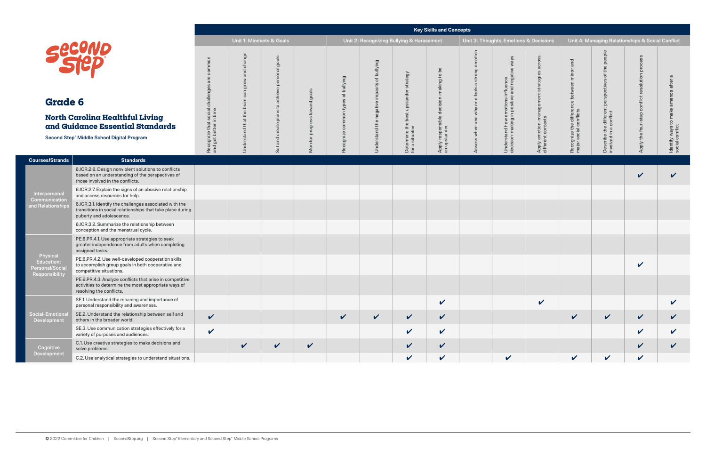**Physical** Education: Personal/Social Responsibility

**Courses/Strands Standards**

**Cognitive** Development

## **North Carolina He and Guidance Ess**

Second Step<sup>®</sup> Middle School

Interpersonal **Communication** and Relationships

|                                                                                                                                                  |                                                                             |                                                           |                                                      |                                     |                                             |                                                                                   |                                                             | <b>Key Skills and Concepts</b>                          |                                                |                                                                                                 |                                                                     |                                                                         |                                                                             |                                                    |                                                                      |
|--------------------------------------------------------------------------------------------------------------------------------------------------|-----------------------------------------------------------------------------|-----------------------------------------------------------|------------------------------------------------------|-------------------------------------|---------------------------------------------|-----------------------------------------------------------------------------------|-------------------------------------------------------------|---------------------------------------------------------|------------------------------------------------|-------------------------------------------------------------------------------------------------|---------------------------------------------------------------------|-------------------------------------------------------------------------|-----------------------------------------------------------------------------|----------------------------------------------------|----------------------------------------------------------------------|
|                                                                                                                                                  |                                                                             |                                                           | Unit 1: Mindsets & Goals                             |                                     |                                             | Unit 2: Recognizing Bullying & Harassment                                         |                                                             |                                                         |                                                | Unit 3: Thoughts, Emotions & Decisions                                                          |                                                                     |                                                                         | Unit 4: Managing Relationships & Social Conflict                            |                                                    |                                                                      |
| ence<br>1ep<br>6<br>arolina Healthful Living<br>dance Essential Standards<br><sup>®</sup> Middle School Digital Program                          | common<br>are<br>Recognize that social challenges<br>and get better in time | change<br>and<br>grow<br>can<br>Understand that the brain | goals<br>and create plans to achieve personal<br>Set | goals<br>progress toward<br>Monitor | of bullying<br>types<br>common<br>Recognize | bullying<br>$\overleftrightarrow{\circ}$<br>impacts<br>negative<br>Understand the | strategy<br>Determine the best upstander<br>for a situation | Apply responsible decision-making to be<br>an upstander | Assess when and why one feels a strong emotion | ways<br>emotions influence<br>in positive and negative<br>Understand how e<br>decision-making i | across<br>Apply emotion-management strategies<br>different contexts | and<br>Recognize the difference between minor<br>major social conflicts | Describe the different perspectives of the people<br>involved in a conflict | conflict resolution process<br>Apply the four-step | $\omega$<br>amends after<br>Identify ways to make<br>social conflict |
| <b>Standards</b>                                                                                                                                 |                                                                             |                                                           |                                                      |                                     |                                             |                                                                                   |                                                             |                                                         |                                                |                                                                                                 |                                                                     |                                                                         |                                                                             |                                                    |                                                                      |
| 6.ICR.2.6. Design nonviolent solutions to conflicts<br>based on an understanding of the perspectives of<br>those involved in the conflicts.      |                                                                             |                                                           |                                                      |                                     |                                             |                                                                                   |                                                             |                                                         |                                                |                                                                                                 |                                                                     |                                                                         |                                                                             | V                                                  | $\checkmark$                                                         |
| 6.ICR.2.7. Explain the signs of an abusive relationship<br>and access resources for help.                                                        |                                                                             |                                                           |                                                      |                                     |                                             |                                                                                   |                                                             |                                                         |                                                |                                                                                                 |                                                                     |                                                                         |                                                                             |                                                    |                                                                      |
| 6.ICR.3.1. Identify the challenges associated with the<br>transitions in social relationships that take place during<br>puberty and adolescence. |                                                                             |                                                           |                                                      |                                     |                                             |                                                                                   |                                                             |                                                         |                                                |                                                                                                 |                                                                     |                                                                         |                                                                             |                                                    |                                                                      |
| 6.ICR.3.2. Summarize the relationship between<br>conception and the menstrual cycle.                                                             |                                                                             |                                                           |                                                      |                                     |                                             |                                                                                   |                                                             |                                                         |                                                |                                                                                                 |                                                                     |                                                                         |                                                                             |                                                    |                                                                      |
| PE.6.PR.4.1. Use appropriate strategies to seek<br>greater independence from adults when completing<br>assigned tasks.                           |                                                                             |                                                           |                                                      |                                     |                                             |                                                                                   |                                                             |                                                         |                                                |                                                                                                 |                                                                     |                                                                         |                                                                             |                                                    |                                                                      |
| PE.6.PR.4.2. Use well-developed cooperation skills<br>to accomplish group goals in both cooperative and<br>competitive situations.               |                                                                             |                                                           |                                                      |                                     |                                             |                                                                                   |                                                             |                                                         |                                                |                                                                                                 |                                                                     |                                                                         |                                                                             | V                                                  |                                                                      |
| PE.6.PR.4.3. Analyze conflicts that arise in competitive<br>activities to determine the most appropriate ways of<br>resolving the conflicts.     |                                                                             |                                                           |                                                      |                                     |                                             |                                                                                   |                                                             |                                                         |                                                |                                                                                                 |                                                                     |                                                                         |                                                                             |                                                    |                                                                      |
| SE.1. Understand the meaning and importance of<br>personal responsibility and awareness.                                                         |                                                                             |                                                           |                                                      |                                     |                                             |                                                                                   |                                                             | $\checkmark$                                            |                                                |                                                                                                 | $\checkmark$                                                        |                                                                         |                                                                             |                                                    | V                                                                    |
| SE.2. Understand the relationship between self and<br>others in the broader world.                                                               | $\checkmark$                                                                |                                                           |                                                      |                                     | $\checkmark$                                | $\checkmark$                                                                      | $\checkmark$                                                | $\checkmark$                                            |                                                |                                                                                                 |                                                                     | $\checkmark$                                                            | $\checkmark$                                                                | $\checkmark$                                       | $\checkmark$                                                         |
| SE.3. Use communication strategies effectively for a<br>variety of purposes and audiences.                                                       | $\checkmark$                                                                |                                                           |                                                      |                                     |                                             |                                                                                   | $\checkmark$                                                | $\checkmark$                                            |                                                |                                                                                                 |                                                                     |                                                                         |                                                                             | $\checkmark$                                       | V                                                                    |
| C.1. Use creative strategies to make decisions and<br>solve problems.                                                                            |                                                                             | $\mathbf{v}$                                              | $\checkmark$                                         | $\checkmark$                        |                                             |                                                                                   | $\checkmark$                                                | $\checkmark$                                            |                                                |                                                                                                 |                                                                     |                                                                         |                                                                             | V                                                  | $\checkmark$                                                         |
| C.2. Use analytical strategies to understand situations.                                                                                         |                                                                             |                                                           |                                                      |                                     |                                             |                                                                                   | $\checkmark$                                                | $\checkmark$                                            |                                                | $\checkmark$                                                                                    |                                                                     | $\checkmark$                                                            | $\checkmark$                                                                | $\checkmark$                                       |                                                                      |

| ons & Decisions                                                  |                                                                      | Unit 4: Managing Relationships & Social Conflict                            |                                                 |                                                         |
|------------------------------------------------------------------|----------------------------------------------------------------------|-----------------------------------------------------------------------------|-------------------------------------------------|---------------------------------------------------------|
| Apply emotion-management strategies across<br>different contexts | Recognize the difference between minor and<br>major social conflicts | Describe the different perspectives of the people<br>involved in a conflict | Apply the four-step conflict resolution process | Identify ways to make amends after a<br>social conflict |
|                                                                  |                                                                      |                                                                             |                                                 |                                                         |
|                                                                  |                                                                      |                                                                             |                                                 |                                                         |
|                                                                  |                                                                      |                                                                             |                                                 |                                                         |
|                                                                  |                                                                      |                                                                             |                                                 |                                                         |
|                                                                  |                                                                      |                                                                             |                                                 |                                                         |
|                                                                  |                                                                      |                                                                             |                                                 |                                                         |
|                                                                  |                                                                      |                                                                             |                                                 |                                                         |
| V                                                                |                                                                      |                                                                             |                                                 |                                                         |
|                                                                  |                                                                      |                                                                             | V                                               |                                                         |
|                                                                  |                                                                      |                                                                             | $\checkmark$                                    | $\overline{\mathscr{C}}$                                |
|                                                                  |                                                                      |                                                                             |                                                 | $\overline{\mathscr{C}}$                                |
|                                                                  | $\checkmark$                                                         | $\checkmark$                                                                | $\checkmark$                                    |                                                         |

Social-Emotional Development

| <b>COND</b> |
|-------------|
|             |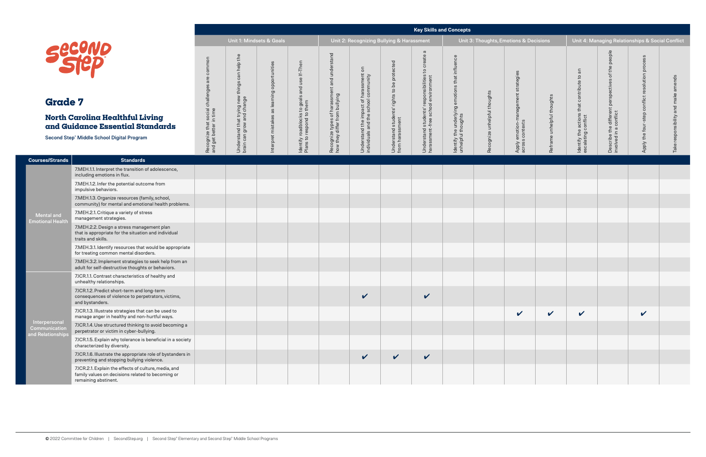Mental and **Emotional Health** 

**Courses/Strands Standards**

# Secon ®

|                                                                                                                                      | <b>Key Skills and Concepts</b>                                                   |                                                                                   |                                              |                                                                          |                                                                                  |                                                                                                       |                                                                |                                                                                                      |                                                                             |                              |                                                                 |                            |                                                                                                             |                                                                                         |                                                            |                                           |
|--------------------------------------------------------------------------------------------------------------------------------------|----------------------------------------------------------------------------------|-----------------------------------------------------------------------------------|----------------------------------------------|--------------------------------------------------------------------------|----------------------------------------------------------------------------------|-------------------------------------------------------------------------------------------------------|----------------------------------------------------------------|------------------------------------------------------------------------------------------------------|-----------------------------------------------------------------------------|------------------------------|-----------------------------------------------------------------|----------------------------|-------------------------------------------------------------------------------------------------------------|-----------------------------------------------------------------------------------------|------------------------------------------------------------|-------------------------------------------|
|                                                                                                                                      | Unit 1: Mindsets & Goals                                                         |                                                                                   |                                              |                                                                          |                                                                                  |                                                                                                       | Unit 2: Recognizing Bullying & Harassment                      |                                                                                                      |                                                                             |                              | Unit 3: Thoughts, Emotions & Decisions                          |                            |                                                                                                             | Unit 4: Managing Relationships & Social Conflict                                        |                                                            |                                           |
| cono<br>1ep<br>e 7<br><b>Carolina Healthful Living</b><br>idance Essential Standards<br>p <sup>®</sup> Middle School Digital Program | common<br>$\omega$<br>Recognize that social challenge:<br>and get better in time | can help the<br>things<br>Understand that trying new<br>brain can grow and change | Interpret mistakes as learning opportunities | ldentify roadblocks to goals and use If–Then<br>Plans to respond to them | and understand<br>Recognize types of harassment<br>how they differ from bullying | $\overline{5}$<br>harassment<br>I community<br>Understand the impact of<br>individuals and the school | Understand students' rights to be protected<br>from harassment | $\omega$<br>create<br>Understand students' responsibilities to<br>harassment-free school environment | influence<br>that<br>ldentify the underlying emotions<br>unhelpful thoughts | Recognize unhelpful thoughts | strategies<br>-management<br>Apply emotion-m<br>across contexts | Reframe unhelpful thoughts | $\overline{\mathsf{a}}$<br>$\mathsf{c}_1$<br>that contribute<br>Identify the actions<br>escalating conflict | people<br>perspectives of the<br>e different <sub>l</sub><br>conflict<br>Describe the o | process<br>solution<br>conflict<br>step<br>Apply the four- | amends<br>responsibility and make<br>Take |
| <b>Standards</b>                                                                                                                     |                                                                                  |                                                                                   |                                              |                                                                          |                                                                                  |                                                                                                       |                                                                |                                                                                                      |                                                                             |                              |                                                                 |                            |                                                                                                             |                                                                                         |                                                            |                                           |
| 7.MEH.1.1. Interpret the transition of adolescence,<br>including emotions in flux.                                                   |                                                                                  |                                                                                   |                                              |                                                                          |                                                                                  |                                                                                                       |                                                                |                                                                                                      |                                                                             |                              |                                                                 |                            |                                                                                                             |                                                                                         |                                                            |                                           |
| 7.MEH.1.2. Infer the potential outcome from<br>impulsive behaviors.                                                                  |                                                                                  |                                                                                   |                                              |                                                                          |                                                                                  |                                                                                                       |                                                                |                                                                                                      |                                                                             |                              |                                                                 |                            |                                                                                                             |                                                                                         |                                                            |                                           |
| 7.MEH.1.3. Organize resources (family, school,<br>community) for mental and emotional health problems.                               |                                                                                  |                                                                                   |                                              |                                                                          |                                                                                  |                                                                                                       |                                                                |                                                                                                      |                                                                             |                              |                                                                 |                            |                                                                                                             |                                                                                         |                                                            |                                           |
| 7.MEH.2.1. Critique a variety of stress<br>management strategies.                                                                    |                                                                                  |                                                                                   |                                              |                                                                          |                                                                                  |                                                                                                       |                                                                |                                                                                                      |                                                                             |                              |                                                                 |                            |                                                                                                             |                                                                                         |                                                            |                                           |
| 7.MEH.2.2. Design a stress management plan<br>that is appropriate for the situation and individual<br>traits and skills.             |                                                                                  |                                                                                   |                                              |                                                                          |                                                                                  |                                                                                                       |                                                                |                                                                                                      |                                                                             |                              |                                                                 |                            |                                                                                                             |                                                                                         |                                                            |                                           |
| 7.MEH.3.1. Identify resources that would be appropriate<br>for treating common mental disorders.                                     |                                                                                  |                                                                                   |                                              |                                                                          |                                                                                  |                                                                                                       |                                                                |                                                                                                      |                                                                             |                              |                                                                 |                            |                                                                                                             |                                                                                         |                                                            |                                           |
| 7.MEH.3.2. Implement strategies to seek help from an<br>adult for self-destructive thoughts or behaviors.                            |                                                                                  |                                                                                   |                                              |                                                                          |                                                                                  |                                                                                                       |                                                                |                                                                                                      |                                                                             |                              |                                                                 |                            |                                                                                                             |                                                                                         |                                                            |                                           |
| 7.ICR.1.1. Contrast characteristics of healthy and<br>unhealthy relationships.                                                       |                                                                                  |                                                                                   |                                              |                                                                          |                                                                                  |                                                                                                       |                                                                |                                                                                                      |                                                                             |                              |                                                                 |                            |                                                                                                             |                                                                                         |                                                            |                                           |
| 7.ICR.1.2. Predict short-term and long-term<br>consequences of violence to perpetrators, victims,<br>and bystanders.                 |                                                                                  |                                                                                   |                                              |                                                                          |                                                                                  | $\checkmark$                                                                                          |                                                                | $\checkmark$                                                                                         |                                                                             |                              |                                                                 |                            |                                                                                                             |                                                                                         |                                                            |                                           |
| 7.ICR.1.3. Illustrate strategies that can be used to<br>manage anger in healthy and non-hurtful ways.                                |                                                                                  |                                                                                   |                                              |                                                                          |                                                                                  |                                                                                                       |                                                                |                                                                                                      |                                                                             |                              | $\checkmark$                                                    | $\checkmark$               | $\checkmark$                                                                                                |                                                                                         | $\checkmark$                                               |                                           |
| 7.ICR.1.4. Use structured thinking to avoid becoming a<br>perpetrator or victim in cyber-bullying.                                   |                                                                                  |                                                                                   |                                              |                                                                          |                                                                                  |                                                                                                       |                                                                |                                                                                                      |                                                                             |                              |                                                                 |                            |                                                                                                             |                                                                                         |                                                            |                                           |
| 7.ICR.1.5. Explain why tolerance is beneficial in a society<br>characterized by diversity.                                           |                                                                                  |                                                                                   |                                              |                                                                          |                                                                                  |                                                                                                       |                                                                |                                                                                                      |                                                                             |                              |                                                                 |                            |                                                                                                             |                                                                                         |                                                            |                                           |
| 7.ICR.1.6. Illustrate the appropriate role of bystanders in<br>preventing and stopping bullying violence.                            |                                                                                  |                                                                                   |                                              |                                                                          |                                                                                  | $\checkmark$                                                                                          | $\checkmark$                                                   | $\checkmark$                                                                                         |                                                                             |                              |                                                                 |                            |                                                                                                             |                                                                                         |                                                            |                                           |
| 7.ICR.2.1. Explain the effects of culture, media, and<br>family values on decisions related to becoming or<br>remaining abstinent.   |                                                                                  |                                                                                   |                                              |                                                                          |                                                                                  |                                                                                                       |                                                                |                                                                                                      |                                                                             |                              |                                                                 |                            |                                                                                                             |                                                                                         |                                                            |                                           |

Interpersonal **Communication** and Relationships

### **North Carolin and Guidance**

Second Step<sup>®</sup> Middle S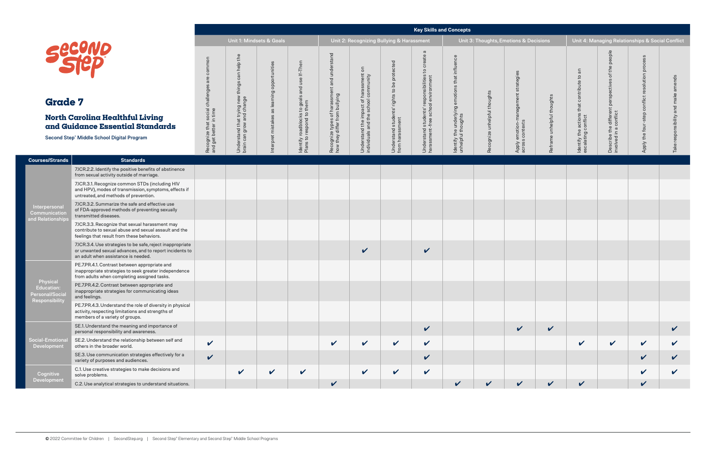**Physical** Education: Personal/Social Responsibility

**Courses/Strands Standards**

Interpersonal **Communication** and Relationships

> **Cognitive** Development

### **North Carolina** and Guidance

Second Step<sup>®</sup> Middle Sc

# Secon ®

|                                                                                                                                                              | <b>Key Skills and Concepts</b>                                      |                                                                                   |                                                 |                                                                          |                                                                                                    |                                                                                                           |                                                                                   |                                                                                               |                                                                                |                                        |                                                                          |                            |                                                                                                       |                                                                                                                     |                                                                  |                                             |
|--------------------------------------------------------------------------------------------------------------------------------------------------------------|---------------------------------------------------------------------|-----------------------------------------------------------------------------------|-------------------------------------------------|--------------------------------------------------------------------------|----------------------------------------------------------------------------------------------------|-----------------------------------------------------------------------------------------------------------|-----------------------------------------------------------------------------------|-----------------------------------------------------------------------------------------------|--------------------------------------------------------------------------------|----------------------------------------|--------------------------------------------------------------------------|----------------------------|-------------------------------------------------------------------------------------------------------|---------------------------------------------------------------------------------------------------------------------|------------------------------------------------------------------|---------------------------------------------|
|                                                                                                                                                              | Unit 1: Mindsets & Goals                                            |                                                                                   |                                                 |                                                                          |                                                                                                    |                                                                                                           | Unit 2: Recognizing Bullying & Harassment                                         |                                                                                               |                                                                                | Unit 3: Thoughts, Emotions & Decisions |                                                                          |                            |                                                                                                       |                                                                                                                     | Unit 4: Managing Relationships & Social Conflict                 |                                             |
| conp<br>Tep<br>e 7<br><b>Carolina Healthful Living</b><br>idance Essential Standards<br>p <sup>®</sup> Middle School Digital Program                         | common<br>Recognize that social challenge<br>and get better in time | can help the<br>things<br>Understand that trying new<br>brain can grow and change | opportunities<br>Interpret mistakes as learning | ldentify roadblocks to goals and use If–Then<br>Plans to respond to them | stand<br>ŏ<br><b>Dunn</b><br>and<br>Recognize types of harassment<br>how they differ from bullying | $\overline{5}$<br>: harassment o<br>I community<br>Understand the impact of<br>individuals and the school | protected<br>$b$ e<br>rights to I<br>ents'<br>Understand stude<br>from harassment | ത<br>create<br>Understand students' responsibilities to<br>harassment-free school environment | influence<br>that<br>emotions<br>ldentify the underlying<br>unhelpful thoughts | Recognize unhelpful thoughts           | strategies<br>management<br>emotion-n<br>s contexts<br>Apply e<br>across | Reframe unhelpful thoughts | $\overline{a}$<br>$\mathsf{c}_1$<br>contribute<br>that<br>Identify the actions<br>escalating conflict | people<br>the<br>đ<br>perspectives<br>aifferent poorflict<br>e the<br>in a c<br>$\sigma$<br>Describe<br>involved in | SS<br>oce<br>뉸<br>olution<br>ಕ<br>confli<br>four<br>the<br>Apply | amends<br>make<br>and<br>onsibility<br>Take |
| <b>Standards</b>                                                                                                                                             |                                                                     |                                                                                   |                                                 |                                                                          |                                                                                                    |                                                                                                           |                                                                                   |                                                                                               |                                                                                |                                        |                                                                          |                            |                                                                                                       |                                                                                                                     |                                                                  |                                             |
| 7.ICR.2.2. Identify the positive benefits of abstinence<br>from sexual activity outside of marriage.                                                         |                                                                     |                                                                                   |                                                 |                                                                          |                                                                                                    |                                                                                                           |                                                                                   |                                                                                               |                                                                                |                                        |                                                                          |                            |                                                                                                       |                                                                                                                     |                                                                  |                                             |
| 7.ICR.3.1. Recognize common STDs (including HIV<br>and HPV), modes of transmission, symptoms, effects if<br>untreated, and methods of prevention.            |                                                                     |                                                                                   |                                                 |                                                                          |                                                                                                    |                                                                                                           |                                                                                   |                                                                                               |                                                                                |                                        |                                                                          |                            |                                                                                                       |                                                                                                                     |                                                                  |                                             |
| 7.ICR.3.2. Summarize the safe and effective use<br>of FDA-approved methods of preventing sexually<br>transmitted diseases.                                   |                                                                     |                                                                                   |                                                 |                                                                          |                                                                                                    |                                                                                                           |                                                                                   |                                                                                               |                                                                                |                                        |                                                                          |                            |                                                                                                       |                                                                                                                     |                                                                  |                                             |
| 7.ICR.3.3. Recognize that sexual harassment may<br>contribute to sexual abuse and sexual assault and the<br>feelings that result from these behaviors.       |                                                                     |                                                                                   |                                                 |                                                                          |                                                                                                    |                                                                                                           |                                                                                   |                                                                                               |                                                                                |                                        |                                                                          |                            |                                                                                                       |                                                                                                                     |                                                                  |                                             |
| 7.ICR.3.4. Use strategies to be safe, reject inappropriate<br>or unwanted sexual advances, and to report incidents to<br>an adult when assistance is needed. |                                                                     |                                                                                   |                                                 |                                                                          |                                                                                                    | $\checkmark$                                                                                              |                                                                                   | $\checkmark$                                                                                  |                                                                                |                                        |                                                                          |                            |                                                                                                       |                                                                                                                     |                                                                  |                                             |
| PE.7.PR.4.1. Contrast between appropriate and<br>inappropriate strategies to seek greater independence<br>from adults when completing assigned tasks.        |                                                                     |                                                                                   |                                                 |                                                                          |                                                                                                    |                                                                                                           |                                                                                   |                                                                                               |                                                                                |                                        |                                                                          |                            |                                                                                                       |                                                                                                                     |                                                                  |                                             |
| PE.7.PR.4.2. Contrast between appropriate and<br>inappropriate strategies for communicating ideas<br>and feelings.                                           |                                                                     |                                                                                   |                                                 |                                                                          |                                                                                                    |                                                                                                           |                                                                                   |                                                                                               |                                                                                |                                        |                                                                          |                            |                                                                                                       |                                                                                                                     |                                                                  |                                             |
| PE.7.PR.4.3. Understand the role of diversity in physical<br>activity, respecting limitations and strengths of<br>members of a variety of groups.            |                                                                     |                                                                                   |                                                 |                                                                          |                                                                                                    |                                                                                                           |                                                                                   |                                                                                               |                                                                                |                                        |                                                                          |                            |                                                                                                       |                                                                                                                     |                                                                  |                                             |
| SE.1. Understand the meaning and importance of<br>personal responsibility and awareness.                                                                     |                                                                     |                                                                                   |                                                 |                                                                          |                                                                                                    |                                                                                                           |                                                                                   | $\checkmark$                                                                                  |                                                                                |                                        | $\checkmark$                                                             | $\checkmark$               |                                                                                                       |                                                                                                                     |                                                                  | V                                           |
| SE.2. Understand the relationship between self and<br>others in the broader world.                                                                           | $\checkmark$                                                        |                                                                                   |                                                 |                                                                          | $\checkmark$                                                                                       | $\checkmark$                                                                                              | $\checkmark$                                                                      | $\checkmark$                                                                                  |                                                                                |                                        |                                                                          |                            | $\checkmark$                                                                                          | $\checkmark$                                                                                                        | V                                                                |                                             |
| SE.3. Use communication strategies effectively for a<br>variety of purposes and audiences.                                                                   | $\checkmark$                                                        |                                                                                   |                                                 |                                                                          |                                                                                                    |                                                                                                           |                                                                                   | $\checkmark$                                                                                  |                                                                                |                                        |                                                                          |                            |                                                                                                       |                                                                                                                     |                                                                  |                                             |
| C.1. Use creative strategies to make decisions and<br>solve problems.                                                                                        |                                                                     | $\checkmark$                                                                      | $\checkmark$                                    | $\checkmark$                                                             |                                                                                                    | $\mathbf v$                                                                                               | $\boldsymbol{\mathcal{U}}$                                                        | $\checkmark$                                                                                  |                                                                                |                                        |                                                                          |                            |                                                                                                       |                                                                                                                     |                                                                  |                                             |
| C.2. Use analytical strategies to understand situations.                                                                                                     |                                                                     |                                                                                   |                                                 |                                                                          | ✔                                                                                                  |                                                                                                           |                                                                                   |                                                                                               | $\boldsymbol{\nu}$                                                             | $\mathbf{v}$                           | $\boldsymbol{\mathcal{U}}$                                               | $\boldsymbol{\mathcal{U}}$ | V                                                                                                     |                                                                                                                     | ✔                                                                |                                             |

Social-Emotional Development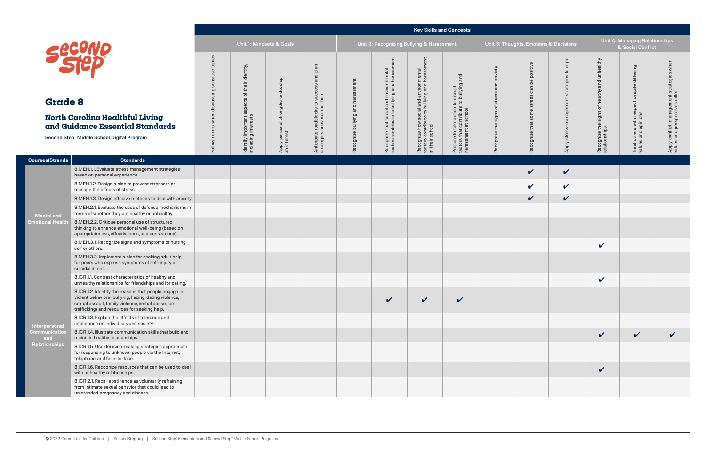**Courses/Strands** 

#### **Key Skills and Concepts**

**Mental and Emotional Health** 

| ts, Emotions & Decisions                   |                                            | Unit 4: Managing Relationships<br>& Social Conflict           |                                                                    |                                                                             |  |  |  |  |  |  |  |
|--------------------------------------------|--------------------------------------------|---------------------------------------------------------------|--------------------------------------------------------------------|-----------------------------------------------------------------------------|--|--|--|--|--|--|--|
| Recognize that some stress can be positive | Apply stress-management strategies to cope | Recognize the signs of healthy and unhealthy<br>relationships | Treat others with respect despite differing<br>values and opinions | Apply conflict-management strategies when<br>values and perspectives differ |  |  |  |  |  |  |  |
|                                            |                                            |                                                               |                                                                    |                                                                             |  |  |  |  |  |  |  |
| LLL                                        | $\sim$                                     |                                                               |                                                                    |                                                                             |  |  |  |  |  |  |  |
|                                            | $\overline{\mathbf{v}}$                    |                                                               |                                                                    |                                                                             |  |  |  |  |  |  |  |
|                                            |                                            |                                                               |                                                                    |                                                                             |  |  |  |  |  |  |  |
|                                            |                                            |                                                               |                                                                    |                                                                             |  |  |  |  |  |  |  |
|                                            |                                            |                                                               |                                                                    |                                                                             |  |  |  |  |  |  |  |
|                                            |                                            |                                                               |                                                                    |                                                                             |  |  |  |  |  |  |  |
|                                            |                                            |                                                               |                                                                    |                                                                             |  |  |  |  |  |  |  |
|                                            |                                            |                                                               |                                                                    |                                                                             |  |  |  |  |  |  |  |
|                                            |                                            |                                                               |                                                                    |                                                                             |  |  |  |  |  |  |  |
|                                            |                                            |                                                               |                                                                    |                                                                             |  |  |  |  |  |  |  |
|                                            |                                            | V                                                             |                                                                    |                                                                             |  |  |  |  |  |  |  |
|                                            |                                            |                                                               |                                                                    |                                                                             |  |  |  |  |  |  |  |

|                                                                                                                                                                                                                      |                                                                     |                                                                                   | Unit 1: Mindsets & Goals                                                  |                                                                                                              |                                   | Unit 2: Recognizing Bullying & Harassment                                                     |                                                                                                                           |                                                                                                                   |                                           | Unit 3: Thoughts, Emotions & Decisions              |                                                                             | <b>Unit 4: Managing Relationships</b><br>& Social Conflict                    |                                                                              |                                              |  |
|----------------------------------------------------------------------------------------------------------------------------------------------------------------------------------------------------------------------|---------------------------------------------------------------------|-----------------------------------------------------------------------------------|---------------------------------------------------------------------------|--------------------------------------------------------------------------------------------------------------|-----------------------------------|-----------------------------------------------------------------------------------------------|---------------------------------------------------------------------------------------------------------------------------|-------------------------------------------------------------------------------------------------------------------|-------------------------------------------|-----------------------------------------------------|-----------------------------------------------------------------------------|-------------------------------------------------------------------------------|------------------------------------------------------------------------------|----------------------------------------------|--|
| cono<br>1ep<br>e 8<br><b>'arolina Healthful Living</b> '<br>idance Essential Standards<br>p <sup>®</sup> Middle School Digital Program                                                                               | ensitive topics<br>$\omega$<br>ing<br>disci<br>norms when<br>Follow | identity,<br>their<br>đ<br>aspects<br>Identify important a<br>including interests | develop<br>$\overline{c}$<br>strengths<br>Apply personal s<br>an interest | and plan<br>SS<br>$\omega$<br>succ<br>roadblocks to succ<br>to overcome them<br>Anticipate I<br>strategies t | Recognize bullying and harassment | hent<br>Recognize that social and environmental<br>factors contribute to bullying and harassm | <b>issment</b><br>Recognize how social and environmental<br>factors contribute to bullying and harassı<br>in their school | to disrupt<br>a to bullying and<br>Prepare to take action to<br>factors that contribute t<br>harassment at school | Recognize the signs of stress and anxiety | be positive<br>can<br>some stress<br>Recognize that | cope<br>S,<br>$\omega$<br>ategie<br>ment<br><u>ଡ</u><br>ēn<br>stre<br>Apply | unhealthy<br>and<br>healthy<br>đ<br>signs<br>Recognize the s<br>relationships | despite differing<br>respect<br>Treat others with res<br>values and opinions | strategies when<br>Apply conflict-management |  |
| <b>Standards</b>                                                                                                                                                                                                     |                                                                     |                                                                                   |                                                                           |                                                                                                              |                                   |                                                                                               |                                                                                                                           |                                                                                                                   |                                           |                                                     |                                                                             |                                                                               |                                                                              |                                              |  |
| 8.MEH.1.1. Evaluate stress management strategies<br>based on personal experience.                                                                                                                                    |                                                                     |                                                                                   |                                                                           |                                                                                                              |                                   |                                                                                               |                                                                                                                           |                                                                                                                   |                                           | $\checkmark$                                        | $\checkmark$                                                                |                                                                               |                                                                              |                                              |  |
| 8.MEH.1.2. Design a plan to prevent stressors or<br>manage the effects of stress.                                                                                                                                    |                                                                     |                                                                                   |                                                                           |                                                                                                              |                                   |                                                                                               |                                                                                                                           |                                                                                                                   |                                           | $\checkmark$                                        | $\mathbf v$                                                                 |                                                                               |                                                                              |                                              |  |
| 8.MEH.1.3. Design effecive methods to deal with anxiety.                                                                                                                                                             |                                                                     |                                                                                   |                                                                           |                                                                                                              |                                   |                                                                                               |                                                                                                                           |                                                                                                                   |                                           | $\checkmark$                                        | $\checkmark$                                                                |                                                                               |                                                                              |                                              |  |
| 8.MEH.2.1. Evaluate the uses of defense mechanisms in<br>terms of whether they are healthy or unhealthy.                                                                                                             |                                                                     |                                                                                   |                                                                           |                                                                                                              |                                   |                                                                                               |                                                                                                                           |                                                                                                                   |                                           |                                                     |                                                                             |                                                                               |                                                                              |                                              |  |
| 8.MEH.2.2. Critique personal use of structured<br>thinking to enhance emotional well-being (based on<br>appropriateness, effectiveness, and consistency).                                                            |                                                                     |                                                                                   |                                                                           |                                                                                                              |                                   |                                                                                               |                                                                                                                           |                                                                                                                   |                                           |                                                     |                                                                             |                                                                               |                                                                              |                                              |  |
| 8.MEH.3.1. Recognize signs and symptoms of hurting<br>self or others.                                                                                                                                                |                                                                     |                                                                                   |                                                                           |                                                                                                              |                                   |                                                                                               |                                                                                                                           |                                                                                                                   |                                           |                                                     |                                                                             | $\checkmark$                                                                  |                                                                              |                                              |  |
| 8.MEH.3.2. Implement a plan for seeking adult help<br>for peers who express symptoms of self-injury or<br>suicidal intent.                                                                                           |                                                                     |                                                                                   |                                                                           |                                                                                                              |                                   |                                                                                               |                                                                                                                           |                                                                                                                   |                                           |                                                     |                                                                             |                                                                               |                                                                              |                                              |  |
| 8.ICR.1.1. Contrast characteristics of healthy and<br>unhealthy relationships for friendships and for dating.                                                                                                        |                                                                     |                                                                                   |                                                                           |                                                                                                              |                                   |                                                                                               |                                                                                                                           |                                                                                                                   |                                           |                                                     |                                                                             | $\checkmark$                                                                  |                                                                              |                                              |  |
| 8.ICR.1.2. Identify the reasons that people engage in<br>violent behaviors (bullying, hazing, dating violence,<br>sexual assault, family violence, verbal abuse, sex<br>trafficking) and resources for seeking help. |                                                                     |                                                                                   |                                                                           |                                                                                                              |                                   |                                                                                               | V                                                                                                                         | V                                                                                                                 |                                           |                                                     |                                                                             |                                                                               |                                                                              |                                              |  |
| 8.ICR.1.3. Explain the effects of tolerance and<br>intolerance on individuals and society.                                                                                                                           |                                                                     |                                                                                   |                                                                           |                                                                                                              |                                   |                                                                                               |                                                                                                                           |                                                                                                                   |                                           |                                                     |                                                                             |                                                                               |                                                                              |                                              |  |
| 8.ICR.1.4. Illustrate communication skills that build and<br>maintain healthy relationships.                                                                                                                         |                                                                     |                                                                                   |                                                                           |                                                                                                              |                                   |                                                                                               |                                                                                                                           |                                                                                                                   |                                           |                                                     |                                                                             | $\checkmark$                                                                  | $\checkmark$                                                                 | $\checkmark$                                 |  |
| 8.ICR.1.5. Use decision-making strategies appropriate<br>for responding to unknown people via the Internet,<br>telephone, and face-to-face.                                                                          |                                                                     |                                                                                   |                                                                           |                                                                                                              |                                   |                                                                                               |                                                                                                                           |                                                                                                                   |                                           |                                                     |                                                                             |                                                                               |                                                                              |                                              |  |
| 8.ICR.1.6. Recognize resources that can be used to deal<br>with unhealthy relationships.                                                                                                                             |                                                                     |                                                                                   |                                                                           |                                                                                                              |                                   |                                                                                               |                                                                                                                           |                                                                                                                   |                                           |                                                     |                                                                             | $\checkmark$                                                                  |                                                                              |                                              |  |
| 8.ICR.2.1. Recall abstinence as voluntarily refraining                                                                                                                                                               |                                                                     |                                                                                   |                                                                           |                                                                                                              |                                   |                                                                                               |                                                                                                                           |                                                                                                                   |                                           |                                                     |                                                                             |                                                                               |                                                                              |                                              |  |

**Interpersonal Communication and Relationships**

## **North Carolina Heal and Guidance Esser**

Second Step<sup>®</sup> Middle School Dig

from intimate sexual behavior that could lead to

unintended pregnancy and disease.